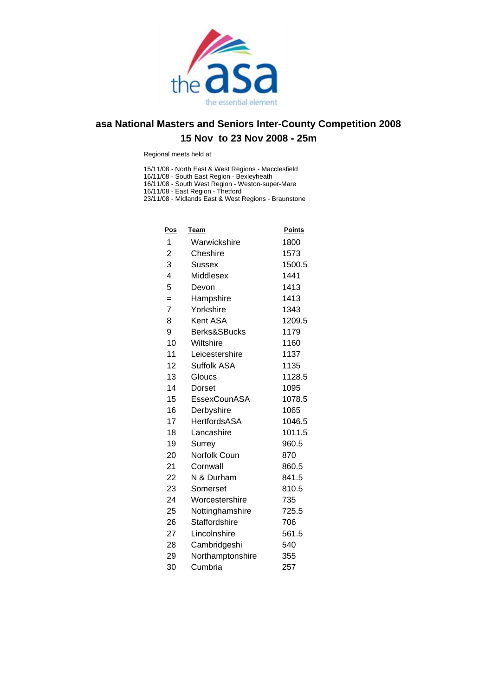

Regional meets held at

15/11/08 - North East & West Regions - Macclesfield

16/11/08 - South East Region - Bexleyheath

16/11/08 - South West Region - Weston-super-Mare

16/11/08 - East Region - Thetford 23/11/08 - Midlands East & West Regions - Braunstone

| <u>Pos</u>              | <u>Team</u>         | <b>Points</b> |
|-------------------------|---------------------|---------------|
| 1                       | Warwickshire        | 1800          |
| 2                       | Cheshire            | 1573          |
| 3                       | Sussex              | 1500.5        |
| $\overline{\mathbf{4}}$ | Middlesex           | 1441          |
| 5                       | Devon               | 1413          |
| $=$                     | Hampshire           | 1413          |
| $\overline{7}$          | Yorkshire           | 1343          |
| 8                       | Kent ASA            | 1209.5        |
| 9                       | Berks&SBucks        | 1179          |
| 10                      | Wiltshire           | 1160          |
| 11                      | Leicestershire      | 1137          |
| 12                      | Suffolk ASA         | 1135          |
| 13                      | Gloucs              | 1128.5        |
| 14                      | Dorset              | 1095          |
| 15                      | EssexCounASA        | 1078.5        |
| 16                      | Derbyshire          | 1065          |
| 17                      | <b>HertfordsASA</b> | 1046.5        |
| 18                      | Lancashire          | 1011.5        |
| 19                      | Surrey              | 960.5         |
| 20                      | Norfolk Coun        | 870           |
| 21                      | Cornwall            | 860.5         |
| 22                      | N & Durham          | 841.5         |
| 23                      | Somerset            | 810.5         |
| 24                      | Worcestershire      | 735           |
| 25                      | Nottinghamshire     | 725.5         |
| 26                      | Staffordshire       | 706           |
| 27                      | Lincolnshire        | 561.5         |
| 28                      | Cambridgeshi        | 540           |
| 29                      | Northamptonshire    | 355           |
| 30                      | Cumbria             | 257           |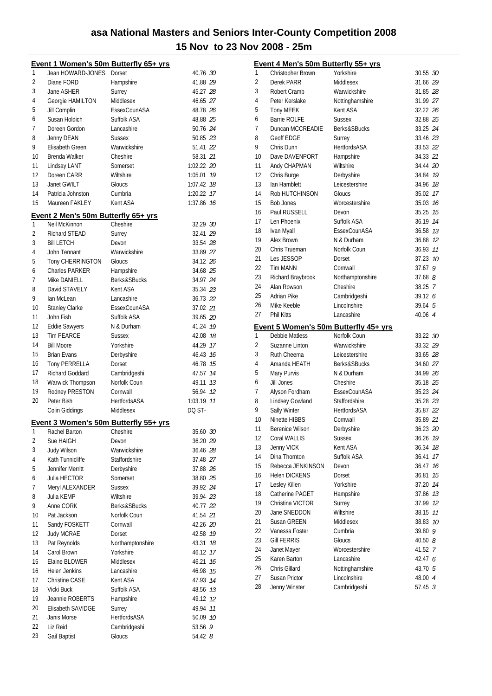|    | Event 1 Women's 50m Butterfly 65+ yrs                |                     |               |
|----|------------------------------------------------------|---------------------|---------------|
| 1  | Jean HOWARD-JONES                                    | Dorset              | 40.76 30      |
| 2  | Diane FORD                                           | Hampshire           | 41.88 29      |
| 3  | Jane ASHER                                           | Surrey              | 45.27 28      |
| 4  | Georgie HAMILTON                                     | Middlesex           | 46.65 27      |
| 5  | Jill Complin                                         | EssexCounASA        | 48.78 26      |
| 6  | Susan Holdich                                        | Suffolk ASA         | 48.88 25      |
| 7  | Doreen Gordon                                        | Lancashire          | 50.76 24      |
| 8  | Jenny DEAN                                           | <b>Sussex</b>       | 50.85 23      |
| 9  | <b>Elisabeth Green</b>                               | Warwickshire        | 51.41 22      |
| 10 | Brenda Walker                                        | Cheshire            | 58.31 21      |
| 11 | Lindsay LANT                                         | Somerset            | 1:02.22 20    |
| 12 | Doreen CARR                                          | Wiltshire           | 19<br>1:05.01 |
| 13 | Janet GWILT                                          | Gloucs              | 1:07.42<br>18 |
| 14 | Patricia Johnston                                    | Cumbria             | 17<br>1:20.22 |
| 15 | Maureen FAKLEY                                       | Kent ASA            | 1:37.86 76    |
|    |                                                      |                     |               |
| 1  | Event 2 Men's 50m Butterfly 65+ yrs<br>Neil McKinnon | Cheshire            | 32.29 30      |
| 2  | Richard STEAD                                        | Surrey              | 32.41 29      |
| 3  | <b>Bill LETCH</b>                                    | Devon               | 33.54 28      |
|    |                                                      | Warwickshire        |               |
| 4  | John Tennant                                         |                     | 33.89 27      |
| 5  | Tony CHERRINGTON                                     | Gloucs              | 34.12 26      |
| 6  | <b>Charles PARKER</b>                                | Hampshire           | 34.68 25      |
| 7  | Mike DANIELL                                         | Berks&SBucks        | 34.97 24      |
| 8  | David STAVELY                                        | Kent ASA            | 35.34 23      |
| 9  | lan McLean                                           | Lancashire          | 36.73 22      |
| 10 | <b>Stanley Clarke</b>                                | EssexCounASA        | 37.02 21      |
| 11 | John Fish                                            | Suffolk ASA         | 39.65 20      |
| 12 | Eddie Sawyers                                        | N & Durham          | 41.24 19      |
| 13 | <b>Tim PEARCE</b>                                    | <b>Sussex</b>       | 42.08 18      |
| 14 | <b>Bill Moore</b>                                    | Yorkshire           | 44.29 17      |
| 15 | <b>Brian Evans</b>                                   | Derbyshire          | 46.43 76      |
| 16 | <b>Tony PERRELLA</b>                                 | Dorset              | 46.78<br>15   |
| 17 | <b>Richard Goddard</b>                               | Cambridgeshi        | 47.57<br>14   |
| 18 | Warwick Thompson                                     | Norfolk Coun        | 49.11<br>13   |
| 19 | Rodney PRESTON                                       | Cornwall            | 56.94<br>12   |
| 20 | Peter Bish                                           | <b>HertfordsASA</b> | 1:03.19 11    |
|    | Colin Giddings                                       | Middlesex           | DQ ST-        |
|    | Event 3 Women's 50m Butterfly 55+ yrs                |                     |               |
| 1  | Rachel Barton                                        | Cheshire            | 35.60 30      |
| 2  | Sue HAIGH                                            | Devon               | 36.20 29      |
| 3  | <b>Judy Wilson</b>                                   | Warwickshire        | 36.46 28      |
| 4  | Kath Tunnicliffe                                     | Staffordshire       | 37.48 27      |
| 5  | Jennifer Merritt                                     | Derbyshire          | 37.88 26      |
| 6  | Julia HECTOR                                         | Somerset            | 38.80 25      |
| 7  | Meryl ALEXANDER                                      | <b>Sussex</b>       | 39.92 24      |
| 8  | Julia KEMP                                           | Wiltshire           | 39.94 23      |
| 9  | Anne CORK                                            | Berks&SBucks        | 40.77 22      |
| 10 | Pat Jackson                                          | Norfolk Coun        | 41.54 21      |
| 11 | Sandy FOSKETT                                        | Cornwall            | 42.26 20      |
| 12 | <b>Judy MCRAE</b>                                    | Dorset              | 42.58 19      |
| 13 | Pat Reynolds                                         | Northamptonshire    | 43.31<br>18   |
| 14 | Carol Brown                                          | Yorkshire           | 46.12<br>17   |
| 15 | Elaine BLOWER                                        | Middlesex           | 46.21<br>16   |
| 16 | Helen Jenkins                                        | Lancashire          | 46.98<br>15   |
| 17 | Christine CASE                                       | Kent ASA            | 47.93<br>14   |
| 18 | Vicki Buck                                           | Suffolk ASA         | 48.56<br>13   |
| 19 | Jeannie ROBERTS                                      | Hampshire           | 49.12         |
|    |                                                      |                     | 12            |
| 20 | Elisabeth SAVIDGE                                    | Surrey              | 49.94<br>11   |
| 21 | Janis Morse                                          | <b>HertfordsASA</b> | 50.09<br>10   |
| 22 | Liz Reid                                             | Cambridgeshi        | 9<br>53.56    |
| 23 | Gail Baptist                                         | Gloucs              | 54.42 8       |

|          | Event 4 Men's 50m Butterfly 55+ yrs       |                                       |                      |
|----------|-------------------------------------------|---------------------------------------|----------------------|
| 1        | Christopher Brown                         | Yorkshire                             | 30.55 30             |
| 2        | Derek PARR                                | Middlesex                             | 31.66 29             |
| 3        | Robert Cramb                              | Warwickshire                          | 31.85 28             |
| 4        | Peter Kerslake                            | Nottinghamshire                       | 31.99 27             |
| 5        | Tony MEEK                                 | Kent ASA                              | 32.22 26             |
| 6        | <b>Barrie ROLFE</b>                       | <b>Sussex</b>                         | 32.88 25             |
| 7        | Duncan MCCREADIE                          | Berks&SBucks                          | 33.25 24             |
| 8        | Geoff EDGE                                | Surrey                                | 33.46 23             |
| 9        | Chris Dunn                                | <b>HertfordsASA</b>                   | 33.53 22             |
| 10       | Dave DAVENPORT                            | Hampshire                             | 34.33 21             |
| 11       | Andy CHAPMAN                              | Wiltshire                             | 34.44 20             |
| 12       | Chris Burge                               | Derbyshire                            | 34.84 19             |
| 13       | lan Hamblett                              | Leicestershire                        | 34.96 18             |
| 14       | Rob HUTCHINSON                            | Gloucs                                | 35.02 17             |
| 15       | <b>Bob Jones</b>                          | Worcestershire                        | 35.03 16             |
| 16       | Paul RUSSELL                              | Devon                                 | 35.25 15             |
| 17       | Len Phoenix                               | Suffolk ASA                           | 36.19 14             |
| 18       | Ivan Myall                                | EssexCounASA                          | 36.58 73             |
| 19       | Alex Brown                                | N & Durham                            | 36.88 12             |
| 20       | Chris Trueman                             | Norfolk Coun                          | 11<br>36.93          |
| 21       | Les JESSOP                                | Dorset                                | 37.23 10             |
| 22       | <b>Tim MANN</b>                           | Cornwall                              | 37.679               |
| 23       | Richard Braybrook                         | Northamptonshire                      | $37.68$ $8$          |
| 24       | Alan Rowson                               | Cheshire                              | 38.25 7              |
| 25       | Adrian Pike                               | Cambridgeshi                          | 39.126               |
| 26       | Mike Keeble                               | Lincolnshire                          | 39.64 5              |
| 27       | <b>Phil Kitts</b>                         | Lancashire                            | 40.06 4              |
|          |                                           | Event 5 Women's 50m Butterfly 45+ yrs |                      |
| 1        | <b>Debbie Matless</b>                     | Norfolk Coun                          | 33.22 30             |
| 2        | Suzanne Linton                            | Warwickshire                          | 33.32 29             |
| 3        | Ruth Cheema                               | Leicestershire                        | 33.65 28             |
| 4        | Amanda HEATH                              | Berks&SBucks                          | 34.60 27             |
| 5        | Mary Purvis                               | N & Durham                            | 34.99 26             |
| 6        | Jill Jones                                | Cheshire                              | 35.18 25             |
| 7        | Alyson Fordham                            | EssexCounASA                          | 35.23 24             |
| 8        | Lindsey Gowland                           | Staffordshire                         | 35.28 23             |
| 9        | Sally Winter                              | <b>HertfordsASA</b>                   | 35.87 22             |
| 10       |                                           |                                       |                      |
|          | Ninette HIBBS                             | Cornwall                              | 35.89 21             |
|          |                                           |                                       |                      |
| 11<br>12 | Berenice Wilson                           | Derbyshire                            | 36.23 20             |
| 13       | Coral WALLIS                              | <b>Sussex</b><br>Kent ASA             | 36.26<br>19<br>18    |
| 14       | Jenny VICK<br>Dina Thornton               | Suffolk ASA                           | 36.34<br>17          |
| 15       |                                           |                                       | 36.41                |
| 16       | Rebecca JENKINSON<br><b>Helen DICKENS</b> | Devon                                 | 16<br>36.47          |
|          |                                           | Dorset<br>Yorkshire                   | 15<br>36.81<br>14    |
| 17<br>18 | Lesley Killen<br>Catherine PAGET          |                                       | 37.20<br>13          |
|          | Christina VICTOR                          | Hampshire                             | 37.86<br>12          |
| 19<br>20 | Jane SNEDDON                              | Surrey<br>Wiltshire                   | 37.99<br>11<br>38.15 |
| 21       | Susan GREEN                               | Middlesex                             | 10<br>38.83          |
| 22       | Vanessa Foster                            | Cumbria                               | 9<br>39.80           |
| 23       | <b>Gill FERRIS</b>                        | Gloucs                                |                      |
| 24       | Janet Mayer                               | Worcestershire                        | 40.50 8<br>41.52 7   |
| 25       | Karen Barton                              | Lancashire                            | 42.47 6              |
| 26       | Chris Gillard                             | Nottinghamshire                       | 43.70 5              |
| 27       | Susan Prictor                             | Lincolnshire                          | 48.00 4              |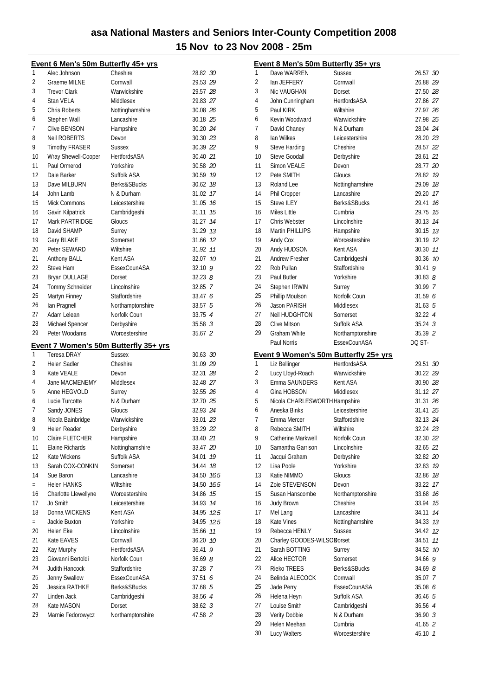Lucy Walters Worcestershire 45.10 *1*

|                                  | Event 6 Men's 50m Butterfly 45+ yrs |                                                               |            |                | <b>Event 8 Men's 50m Butterfly 35+ yrs</b> |                                       |             |
|----------------------------------|-------------------------------------|---------------------------------------------------------------|------------|----------------|--------------------------------------------|---------------------------------------|-------------|
| $\mathbf{1}$                     | Alec Johnson                        | Cheshire                                                      | 28.82 30   | 1              | Dave WARREN                                | <b>Sussex</b>                         | 26.57 30    |
| $\overline{2}$                   | <b>Graeme MILNE</b>                 | Cornwall                                                      | 29.53 29   | $\overline{2}$ | lan JEFFERY                                | Cornwall                              | 26.88 29    |
| 3                                | <b>Trevor Clark</b>                 | Warwickshire                                                  | 29.57 28   | 3              | Nic VAUGHAN                                | Dorset                                | 27.50 28    |
| 4                                | Stan VELA                           | Middlesex                                                     | 29.83 27   | $\overline{4}$ | John Cunningham                            | HertfordsASA                          | 27.86 27    |
| 5                                | <b>Chris Roberts</b>                | Nottinghamshire                                               | 30.08 26   | 5              | Paul KIRK                                  | Wiltshire                             | 27.97 26    |
| 6                                | Stephen Wall                        | Lancashire                                                    | 30.18 25   | 6              | Kevin Woodward                             | Warwickshire                          | 27.98 25    |
| 7                                | Clive BENSON                        | Hampshire                                                     | 30.20 24   | $\overline{7}$ | David Chaney                               | N & Durham                            | 28.04 24    |
| 8                                | Neil ROBERTS                        | Devon                                                         | 30.30 23   | 8              | lan Wilkes                                 | Leicestershire                        | 28.20 23    |
| 9                                | <b>Timothy FRASER</b>               | <b>Sussex</b>                                                 | 30.39 22   | 9              | Steve Harding                              | Cheshire                              | 28.57 22    |
| 10                               | Wray Shewell-Cooper                 | HertfordsASA                                                  | 30.40 21   | 10             | Steve Goodall                              | Derbyshire                            | 28.61 21    |
| 11                               | Paul Ormerod                        | Yorkshire                                                     | 30.58 20   | 11             | Simon VEALE                                | Devon                                 | 28.77 20    |
| 12                               | Dale Barker                         | Suffolk ASA                                                   | 30.59 19   | 12             | Pete SMITH                                 | Gloucs                                | 28.82 19    |
| 13                               | Dave MILBURN                        | Berks&SBucks                                                  | 30.62 18   | 13             | Roland Lee                                 | Nottinghamshire                       | 29.09 18    |
| 14                               | John Lamb                           | N & Durham                                                    | 31.02 17   | 14             | Phil Cropper                               | Lancashire                            | 29.20 17    |
| 15                               | <b>Mick Commons</b>                 | Leicestershire                                                | 31.05 76   | 15             | <b>Steve ILEY</b>                          | Berks&SBucks                          | 29.41 16    |
| 16                               | Gavin Kilpatrick                    | Cambridgeshi                                                  | 31.11 15   | 16             | Miles Little                               | Cumbria                               | 29.75 15    |
| 17                               | Mark PARTRIDGE                      | Gloucs                                                        | 31.27 14   | 17             | Chris Webster                              | Lincolnshire                          | 30.13 74    |
| 18                               | David SHAMP                         | Surrey                                                        | 31.29 13   | 18             | <b>Martin PHILLIPS</b>                     | Hampshire                             | 30.15 13    |
| 19                               | Gary BLAKE                          | Somerset                                                      | 31.66 12   | 19             | Andy Cox                                   | Worcestershire                        | 30.19 12    |
| 20                               | Peter SEWARD                        | Wiltshire                                                     | 31.92 11   | 20             | Andy HUDSON                                | Kent ASA                              | 30.30 11    |
| 21                               | Anthony BALL                        | Kent ASA                                                      | 32.07 10   | 21             | <b>Andrew Fresher</b>                      | Cambridgeshi                          | 30.36 10    |
| 22                               | Steve Ham                           | EssexCounASA                                                  | 32.10 9    | 22             | Rob Pullan                                 | Staffordshire                         | $30.41$ 9   |
| 23                               | Bryan DULLAGE                       | Dorset                                                        | 32.238     | 23             | Paul Butler                                | Yorkshire                             | 30.838      |
| 24                               | Tommy Schneider                     | Lincolnshire                                                  | 32.85 7    | 24             | Stephen IRWIN                              | Surrey                                | 30.99 7     |
| 25                               | Martyn Finney                       | Staffordshire                                                 | 33.47 6    | 25             | Phillip Moulson                            | Norfolk Coun                          | 31.59 6     |
| 26                               | Ian Pragnell                        | Northamptonshire                                              | 33.57 5    | 26             | <b>Jason PARISH</b>                        | Middlesex                             | 31.635      |
| 27                               | Adam Lelean                         | Norfolk Coun                                                  | 33.75 4    | 27             | Neil HUDGHTON                              | Somerset                              | 32.22 4     |
| 28                               | Michael Spencer                     | Derbyshire                                                    | 35.58 3    | 28             | <b>Clive Mitson</b>                        | Suffolk ASA                           | 35.24 3     |
| 29                               | Peter Woodams                       | Worcestershire                                                | 35.67 2    | 29             | Graham White                               | Northamptonshire                      | 35.39 2     |
|                                  |                                     |                                                               |            |                | Paul Norris                                | EssexCounASA                          | DQ ST-      |
| 1                                | <b>Teresa DRAY</b>                  | <b>Event 7 Women's 50m Butterfly 35+ yrs</b><br><b>Sussex</b> | 30.63 30   |                |                                            | Event 9 Women's 50m Butterfly 25+ yrs |             |
| 2                                | Helen Sadler                        | Cheshire                                                      | 31.09 29   | 1              | Liz Bellinger                              | <b>HertfordsASA</b>                   | 29.51 30    |
| 3                                | Kate VEALE                          | Devon                                                         | 32.31 28   | $\overline{2}$ | Lucy Lloyd-Roach                           | Warwickshire                          | 30.22 29    |
| 4                                | Jane MACMENEMY                      | Middlesex                                                     | 32.48 27   | 3              | Emma SAUNDERS                              | Kent ASA                              | 30.90 28    |
| 5                                | Anne HEGVOLD                        | Surrey                                                        | 32.55 26   | $\overline{4}$ | Gina HOBSON                                | Middlesex                             | 31.12 27    |
| 6                                | Lucie Turcotte                      | N & Durham                                                    | 32.70 25   | 5              | Nicola CHARLESWORTH Hampshire              |                                       | 31.31 26    |
| 7                                | Sandy JONES                         | Gloucs                                                        | 32.93 24   | 6              | Aneska Binks                               | Leicestershire                        | 31.41 25    |
| 8                                | Nicola Bainbridge                   | Warwickshire                                                  | 33.01 23   | $\overline{7}$ | Emma Mercer                                | Staffordshire                         | 32.13 24    |
| 9                                | Helen Reader                        | Derbyshire                                                    | 33.29 22   | 8              | Rebecca SMITH                              | Wiltshire                             | 32.24 23    |
| 10                               | Claire FLETCHER                     |                                                               | 33.40 21   | 9              | Catherine Markwell                         | Norfolk Coun                          | 32.30 22    |
| 11                               |                                     | Hampshire                                                     |            | 10             |                                            | Lincolnshire                          |             |
|                                  | Elaine Richards                     | Nottinghamshire                                               | 33.47 20   |                | Samantha Garrison                          |                                       | 32.65 21    |
| 12                               | Kate Wickens                        | Suffolk ASA                                                   | 34.01 19   | 11             | Jacqui Graham                              | Derbyshire                            | 32.82 20    |
| 13                               | Sarah COX-CONKIN                    | Somerset                                                      | 34.44 18   | 12             | Lisa Poole                                 | Yorkshire                             | 32.83 19    |
| 14                               | Sue Baron                           | Lancashire                                                    | 34.50 16.5 | 13             | Katie NIMMO                                | Gloucs                                | 32.86 18    |
| $\quad =$                        | <b>Helen HANKS</b>                  | Wiltshire                                                     | 34.50 16.5 | 14             | Zoie STEVENSON                             | Devon                                 | 33.22 17    |
| 16                               | Charlotte Llewellyne                | Worcestershire                                                | 34.86 15   | 15             | Susan Hanscombe                            | Northamptonshire                      | 33.68 16    |
| 17                               | Jo Smith                            | Leicestershire                                                | 34.93 74   | 16             | Judy Brown                                 | Cheshire                              | 33.94 75    |
| 18                               | Donna WICKENS                       | Kent ASA                                                      | 34.95 12.5 | 17             | Mel Lang                                   | Lancashire                            | 34.11 74    |
| $=$                              | Jackie Buxton                       | Yorkshire                                                     | 34.95 12.5 | 18             | Kate Vines                                 | Nottinghamshire                       | 34.33 73    |
| 20                               | Helen Eke                           | Lincolnshire                                                  | 35.66 77   | 19             | Rebecca HENLY                              | Sussex                                | 34.42 12    |
| 21                               | Kate EAVES                          | Cornwall                                                      | 36.20 10   | 20             | Charley GOODES-WILSONorset                 |                                       | 34.51 11    |
| 22                               | Kay Murphy                          | HertfordsASA                                                  | 36.419     | 21             | Sarah BOTTING                              | Surrey                                | 34.52 10    |
| 23                               | Giovanni Bertoldi                   | Norfolk Coun                                                  | 36.698     | 22             | Alice HECTOR                               | Somerset                              | 34.66 9     |
|                                  |                                     |                                                               | 37.28 7    | 23             | Rieko TREES                                | Berks&SBucks                          | $34.69$ $8$ |
|                                  | Judith Hancock                      | Staffordshire                                                 |            |                |                                            |                                       |             |
|                                  | Jenny Swallow                       | EssexCounASA                                                  | 37.51 6    | 24             | Belinda ALECOCK                            | Cornwall                              | 35.07 7     |
|                                  | Jessica RATHKE                      | Berks&SBucks                                                  | 37.68 5    | 25             | Jade Perry                                 | EssexCounASA                          | 35.08 6     |
|                                  | Linden Jack                         | Cambridgeshi                                                  | 38.56 4    | 26             | Helena Heyn                                | Suffolk ASA                           | 36.46 5     |
|                                  | Kate MASON                          | Dorset                                                        | 38.62 3    | 27             | Louise Smith                               | Cambridgeshi                          | 36.56 4     |
| 24<br>25<br>26<br>27<br>28<br>29 | Marnie Fedorowycz                   | Northamptonshire                                              | 47.58 2    | 28             | Verity Dobbie                              | N & Durham                            | 36.903      |
|                                  |                                     |                                                               |            | 29             | Helen Meehan                               | Cumbria                               | 41.65 2     |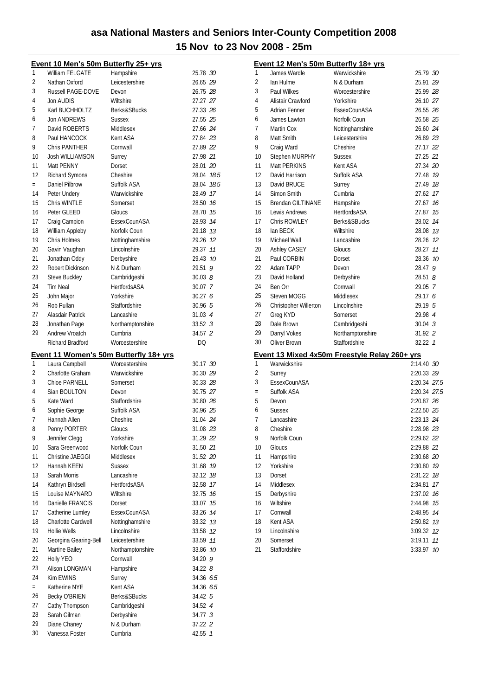2:14.40 30 Surrey 2:20.33 *29* 2:20.34 27.5 = Suffolk ASA 2:20.34 *27.5* Devon 2:20.87 *26* Sussex 2:22.50 *25* Lancashire 2:23.13 *24* Cheshire 2:28.98 *23* 2:29.62 *22*  Gloucs 2:29.88 *21* Hampshire 2:30.68 *20* Yorkshire 2:30.80 *19* Dorset 2:31.22 *18* Middlesex 2:34.81 *17* Derbyshire 2:37.02 *16* 2:44.98 75 2:48.95 74 2:50.82 73 Lincolnshire 3:09.32 *12* Somerset 3:19.11 *11* Staffordshire 3:33.97 *10*

|                | Event 10 Men's 50m Butterfly 25+ yrs |                                                          |                      |                | Event 12 Men's 50m Butterfly 18+ yrs |                                               |                 |
|----------------|--------------------------------------|----------------------------------------------------------|----------------------|----------------|--------------------------------------|-----------------------------------------------|-----------------|
| 1              | William FELGATE                      | Hampshire                                                | 25.78 30             | 1              | James Wardle                         | Warwickshire                                  | 25.79 30        |
| 2              | Nathan Oxford                        | Leicestershire                                           | 26.65 29             | $\overline{2}$ | lan Hulme                            | N & Durham                                    | 25.91 29        |
| 3              | Russell PAGE-DOVE                    | Devon                                                    | 26.75 28             | 3              | Paul Wilkes                          | Worcestershire                                | 25.99 28        |
| 4              | Jon AUDIS                            | Wiltshire                                                | 27.27 27             | 4              | Alistair Crawford                    | Yorkshire                                     | 26.10 27        |
| 5              | Karl BUCHHOLTZ                       | Berks&SBucks                                             | 27.33 26             | 5              | Adrian Fenner                        | EssexCounASA                                  | 26.55 26        |
| 6              | Jon ANDREWS                          | Sussex                                                   | 27.55 25             | 6              | James Lawton                         | Norfolk Coun                                  | 26.58 25        |
| 7              | David ROBERTS                        | Middlesex                                                | 27.66 24             | $\overline{7}$ | Martin Cox                           | Nottinghamshire                               | 26.60 24        |
| 8              | Paul HANCOCK                         | Kent ASA                                                 | 27.84 23             | 8              | Matt Smith                           | Leicestershire                                | 26.89 23        |
| 9              | Chris PANTHER                        | Cornwall                                                 | 27.89 22             | 9              | Craig Ward                           | Cheshire                                      | 27.17 22        |
| 10             | Josh WILLIAMSON                      | Surrey                                                   | 27.98 21             | 10             | Stephen MURPHY                       | <b>Sussex</b>                                 | 27.25 21        |
| 11             | Matt PENNY                           | Dorset                                                   | 28.01 20             | 11             | Matt PERKINS                         | Kent ASA                                      | 27.34 20        |
| 12             | <b>Richard Symons</b>                | Cheshire                                                 | 28.04 18.5           | 12             | David Harrison                       | Suffolk ASA                                   | 27.48 19        |
| $=$            | Daniel Pilbrow                       | Suffolk ASA                                              | 28.04 18.5           | 13             | David BRUCE                          | Surrey                                        | 27.49 18        |
| 14             | Peter Undery                         | Warwickshire                                             | 28.49 17             | 14             | Simon Smith                          | Cumbria                                       | 27.62 17        |
| 15             | Chris WINTLE                         | Somerset                                                 | 28.50 16             | 15             | <b>Brendan GILTINANE</b>             | Hampshire                                     | 27.67 16        |
| 16             | Peter GLEED                          | Gloucs                                                   | 28.70 15             | 16             | Lewis Andrews                        | HertfordsASA                                  | 27.87 15        |
| 17             | Craig Campion                        | EssexCounASA                                             | 28.93 14             | 17             | Chris ROWLEY                         | Berks&SBucks                                  | 28.02 14        |
| 18             | William Appleby                      | Norfolk Coun                                             | 29.18 13             | 18             | lan BECK                             | Wiltshire                                     | 28.08 13        |
| 19             | Chris Holmes                         | Nottinghamshire                                          | 29.26 12             | 19             | Michael Wall                         | Lancashire                                    | 28.26 12        |
| 20             | Gavin Vaughan                        | Lincolnshire                                             | 29.37 11             | 20             | Ashley CASEY                         | Gloucs                                        | 28.27 11        |
| 21             | Jonathan Oddy                        | Derbyshire                                               | 29.43 10             | 21             | Paul CORBIN                          | Dorset                                        | 28.36 10        |
| 22             | Robert Dickinson                     | N & Durham                                               | 29.51 9              | 22             | Adam TAPP                            | Devon                                         | 28.47 9         |
| 23             | Steve Buckley                        | Cambridgeshi                                             | 30.038               | 23             | David Holland                        | Derbyshire                                    | 28.51 $8$       |
| 24             | <b>Tim Neal</b>                      | HertfordsASA                                             | 30.07 7              | 24             | Ben Orr                              | Cornwall                                      | 29.05 7         |
| 25             | John Major                           | Yorkshire                                                | 30.276               | 25             | Steven MOGG                          | Middlesex                                     | 29.17 6         |
| 26             | Rob Pullan                           | Staffordshire                                            | 30.96 5              | 26             | Christopher Willerton                | Lincolnshire                                  | 29.19 5         |
| 27             | Alasdair Patrick                     | Lancashire                                               | 31.03 4              | 27             | Greg KYD                             | Somerset                                      | 29.98 4         |
| 28             | Jonathan Page                        | Northamptonshire                                         | 33.52 3              | 28             | Dale Brown                           | Cambridgeshi                                  | 30.04 3         |
| 29             | Andrew Vroatch                       | Cumbria                                                  | 34.57 2              | 29             | Darryl Vokes                         | Northamptonshire                              | 31.92 2         |
|                | Richard Bradford                     | Worcestershire                                           | <b>DQ</b>            | 30             | Oliver Brown                         | Staffordshire                                 | $32.22 \quad 1$ |
|                |                                      |                                                          |                      |                |                                      |                                               |                 |
| 1              | Laura Campbell                       | Event 11 Women's 50m Butterfly 18+ yrs<br>Worcestershire | 30.17 30             | 1              | Warwickshire                         | Event 13 Mixed 4x50m Freestyle Relay 260+ yrs | 2:14.40 30      |
| $\overline{2}$ | Charlotte Graham                     | Warwickshire                                             | 30.30 29             | $\overline{2}$ | Surrey                               |                                               | 2:20.33 29      |
| 3              | Chloe PARNELL                        | Somerset                                                 | 30.33 28             | 3              | EssexCounASA                         |                                               | 2:20.34 27.     |
| 4              | Sian BOULTON                         | Devon                                                    | 30.75 27             | $=$            | Suffolk ASA                          |                                               | 2:20.34 27.     |
| 5              | Kate Ward                            | Staffordshire                                            | 30.80 26             | 5              | Devon                                |                                               | 2:20.87 26      |
| 6              | Sophie George                        | Suffolk ASA                                              | 30.96 25             | 6              | <b>Sussex</b>                        |                                               | 2:22.50 25      |
| 7              | Hannah Allen                         | Cheshire                                                 | 31.04 24             | $\overline{7}$ | Lancashire                           |                                               | 2:23.13 24      |
| 8              |                                      |                                                          |                      | 8              |                                      |                                               |                 |
| 9              | Penny PORTER<br>Jennifer Clegg       | Gloucs<br>Yorkshire                                      | 31.08 23<br>31.29 22 | 9              | Cheshire<br>Norfolk Coun             |                                               | 2:28.98 23      |
| 10             | Sara Greenwood                       |                                                          |                      | 10             |                                      |                                               | 2:29.62 22      |
| 11             |                                      | Norfolk Coun<br>Middlesex                                | 31.50 21             | 11             | Gloucs                               |                                               | 2:29.88 21      |
| 12             | Christine JAEGGI                     |                                                          | 31.52 20             |                | Hampshire                            |                                               | 2:30.68 20      |
|                | Hannah KEEN                          | Sussex                                                   | 31.68 19             | 12             | Yorkshire                            |                                               | 2:30.80 79      |
| 13             | Sarah Morris                         | Lancashire                                               | 32.12 18             | 13             | Dorset                               |                                               | 2:31.22 18      |
| 14             | Kathryn Birdsell                     | HertfordsASA                                             | 32.58 17             | 14             | Middlesex                            |                                               | 2:34.81 17      |
| 15             | Louise MAYNARD                       | Wiltshire                                                | 32.75 16             | 15             | Derbyshire                           |                                               | 2:37.02 76      |
| 16             | Danielle FRANCIS                     | Dorset                                                   | 33.07 15             | 16             | Wiltshire                            |                                               | 2:44.98 15      |
| 17             | Catherine Lumley                     | EssexCounASA                                             | 33.26 14             | 17             | Cornwall                             |                                               | 2:48.95 74      |
| 18             | Charlotte Cardwell                   | Nottinghamshire                                          | 33.32 13             | 18             | Kent ASA                             |                                               | 2:50.82 73      |
| 19             | <b>Hollie Wells</b>                  | Lincolnshire                                             | 33.58 12             | 19             | Lincolnshire                         |                                               | 3:09.32 12      |
| 20             | Georgina Gearing-Bell                | Leicestershire                                           | 33.59 11             | 20             | Somerset                             |                                               | 3:19.11 11      |
| 21             | <b>Martine Bailey</b>                | Northamptonshire                                         | 33.86 10             | 21             | Staffordshire                        |                                               | 3:33.97 10      |
|                |                                      |                                                          | 34.20 9              |                |                                      |                                               |                 |
| 22             | Holly YEO                            | Cornwall                                                 |                      |                |                                      |                                               |                 |
| 23             | Alison LONGMAN                       | Hampshire                                                | 34.22 8              |                |                                      |                                               |                 |
| 24             | Kim EWINS                            | Surrey                                                   | 34.36 6.5            |                |                                      |                                               |                 |
| $=$            | Katherine NYE                        | Kent ASA                                                 | 34.36 6.5            |                |                                      |                                               |                 |
| 26             | Becky O'BRIEN                        | Berks&SBucks                                             | 34.42 5              |                |                                      |                                               |                 |
| 27             | Cathy Thompson                       | Cambridgeshi                                             | 34.52 4              |                |                                      |                                               |                 |
| 28             | Sarah Gilman                         | Derbyshire                                               | 34.77 3              |                |                                      |                                               |                 |
| 29             | Diane Chaney                         | N & Durham<br>Cumbria                                    | 37.22 2              |                |                                      |                                               |                 |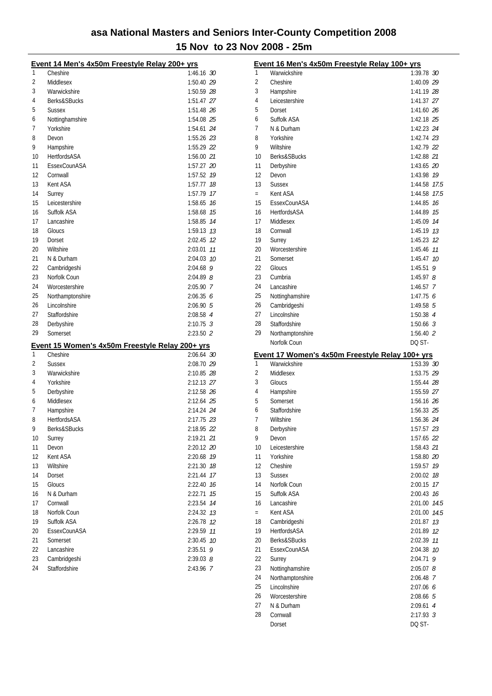|    | <u>Event 14 Men's 4x50m Freestyle Relay 200+ yrs</u> |               |    |
|----|------------------------------------------------------|---------------|----|
| 1  | Cheshire                                             | 1:46.16 30    |    |
| 2  | Middlesex                                            | 1:50.40 29    |    |
| 3  | Warwickshire                                         | 1:50.59 28    |    |
| 4  | Berks&SBucks                                         | 1:51.47 27    |    |
| 5  | Sussex                                               | 1:51.48 26    |    |
| 6  | Nottinghamshire                                      | 1:54.08 25    |    |
| 7  | Yorkshire                                            | 1:54.61 24    |    |
| 8  | Devon                                                | 1:55.26 23    |    |
| 9  | Hampshire                                            | 1:55.29 22    |    |
| 10 | <b>HertfordsASA</b>                                  | 1:56.00 21    |    |
| 11 | EssexCounASA                                         | 1:57.27 20    |    |
| 12 | Cornwall                                             | 1:57.52 19    |    |
| 13 | Kent ASA                                             | 1:57.77 18    |    |
| 14 | Surrey                                               | 1:57.79 17    |    |
| 15 | Leicestershire                                       | 1:58.65       | 16 |
| 16 | Suffolk ASA                                          | 1:58.68 75    |    |
| 17 | Lancashire                                           | 1:58.85 14    |    |
| 18 | Gloucs                                               | 1:59.13 13    |    |
| 19 | Dorset                                               | 2:02.45 12    |    |
| 20 | Wiltshire                                            | 2:03.01       | 11 |
| 21 | N & Durham                                           | 2:04.03 10    |    |
| 22 | Cambridgeshi                                         | $2:04.68$ 9   |    |
| 23 | Norfolk Coun                                         | $2:04.89$ $8$ |    |
| 24 | Worcestershire                                       | 2:05.90 7     |    |
| 25 | Northamptonshire                                     | 2:06.356      |    |
| 26 | Lincolnshire                                         | 2:06.905      |    |
| 27 | Staffordshire                                        | 2:08.58 4     |    |
| 28 | Derbyshire                                           | $2:10.75$ 3   |    |
| 29 | Somerset                                             | 2:23.50 2     |    |
|    | Event 15 Women's 4x50m Freestyle Relay 200+ yrs      |               |    |
| 1  | Cheshire                                             | 2:06.64 30    |    |
| 2  | <b>Sussex</b>                                        | 2:08.70 29    |    |
| 3  | Warwickshire                                         | 2:10.85 28    |    |
| 4  | Yorkshire                                            | 2:12.13 27    |    |
| 5  | Derbyshire                                           | 2:12.58 26    |    |
| 6  | Middlesex                                            | 2:12.64 25    |    |
| 7  | Hampshire                                            | 2:14.24 24    |    |
| 8  | HertfordsASA                                         | 2:17.75 23    |    |
| q  | Berks&SBucks                                         | 2:18.95 22    |    |
| 10 | Surrey                                               | 2:19.21 21    |    |
| 11 | Devon                                                | 2:20.12 20    |    |
| 12 | Kent ASA                                             | 2:20.68       | 19 |
| 13 | Wiltshire                                            | 2:21.30       | 18 |
| 14 | Dorset                                               | 2:21.44       | 17 |
| 15 | Gloucs                                               | 2:22.40       | 16 |
| 16 | N & Durham                                           | 2:22.71       | 15 |
| 17 | Cornwall                                             | 2:23.54       | 14 |
| 18 | Norfolk Coun                                         | 2:24.32       | 13 |
| 19 | Suffolk ASA                                          | 2:26.78       | 12 |
| 20 | EssexCounASA                                         | 2:29.59       | 11 |
| 21 | Somerset                                             | 2:30.45       | 10 |
| 22 | Lancashire                                           | 2:35.51       | 9  |
| 23 | Cambridgeshi                                         | $2:39.03$ $8$ |    |
|    |                                                      |               |    |
| 24 | Staffordshire                                        | 2:43.96 7     |    |

|     | Event 16 Men's 4x50m Freestyle Relay 100+ yrs   |                       |      |
|-----|-------------------------------------------------|-----------------------|------|
| 1   | Warwickshire                                    | 1:39.78 30            |      |
| 2   | Cheshire                                        | 1:40.09 29            |      |
| 3   | Hampshire                                       | 1:41.19 28            |      |
| 4   | Leicestershire                                  | 1:41.37 27            |      |
| 5   | Dorset                                          | 1:41.60 26            |      |
| 6   | Suffolk ASA                                     | 1:42.18 25            |      |
| 7   | N & Durham                                      | 1:42.23 24            |      |
| 8   | Yorkshire                                       | 1:42.74 23            |      |
| 9   | Wiltshire                                       | 1:42.79 22            |      |
| 10  | Berks&SBucks                                    | 1:42.88 21            |      |
| 11  | Derbyshire                                      | 1:43.65 20            |      |
| 12  | Devon                                           | 1:43.98 79            |      |
| 13  | <b>Sussex</b>                                   | 1:44.58 77.5          |      |
| $=$ | Kent ASA                                        | 1:44.58 17.5          |      |
| 15  | EssexCounASA                                    | 1:44.85 16            |      |
| 16  | <b>HertfordsASA</b>                             | 1:44.89 15            |      |
| 17  | Middlesex                                       | 1:45.09 74            |      |
| 18  | Cornwall                                        | $1:45.19$ 13          |      |
| 19  | Surrey                                          | 1:45.23 12            |      |
| 20  | Worcestershire                                  | 1:45.46 77            |      |
| 21  | Somerset                                        | 1:45.47 10            |      |
| 22  | Gloucs                                          | 1:45.51 $9$           |      |
| 23  | Cumbria                                         | 1:45.97 $8$           |      |
| 24  | Lancashire                                      | $1:46.57$ 7           |      |
| 25  | Nottinghamshire                                 | 1:47.756              |      |
| 26  | Cambridgeshi                                    | $1:49.58$ 5           |      |
| 27  | Lincolnshire                                    | $1:50.38$ 4           |      |
| 28  | Staffordshire                                   | $1:50.66$ 3           |      |
| 29  | Northamptonshire                                | $1:56.40$ 2           |      |
|     | Norfolk Coun                                    | DQ ST-                |      |
|     |                                                 |                       |      |
|     |                                                 |                       |      |
|     | Event 17 Women's 4x50m Freestyle Relay 100+ yrs |                       |      |
| 1   | Warwickshire                                    | 1:53.39 30            |      |
| 2   | Middlesex                                       | 1:53.75 29            |      |
| 3   | Gloucs                                          | 1:55.44 28            |      |
| 4   | Hampshire                                       | 1:55.59 27            |      |
| 5   | Somerset                                        | 1:56.16 26            |      |
| 6   | Staffordshire                                   | 1:56.33 25            |      |
| 7   | Wiltshire                                       | 1:56.36 24            |      |
| 8   | Derbyshire                                      | 1:57.57 23            |      |
| 9   | Devon                                           | 1:57.65 22            |      |
| 10  | Leicestershire                                  | 1:58.43 21            |      |
| 11  | Yorkshire                                       | 1:58.80 20            |      |
| 12  | Cheshire                                        | 1:59.57               | 19   |
| 13  | <b>Sussex</b>                                   | 2:00.02               | 18   |
| 14  | Norfolk Coun                                    | 2:00.15               | 17   |
| 15  | Suffolk ASA                                     | 2:00.43               | 16   |
| 16  | Lancashire                                      | 2:01.00               | 14.5 |
| $=$ | Kent ASA                                        | 2:01.00               | 14.5 |
| 18  | Cambridgeshi                                    | 2:01.87               | 13   |
| 19  | HertfordsASA                                    | 2:01.89               | 12   |
| 20  | Berks&SBucks                                    | 2:02.39               | 11   |
| 21  | EssexCounASA                                    | 2:04.38               | 10   |
| 22  | Surrey                                          | 2:04.71               | 9    |
| 23  | Nottinghamshire                                 | $2:05.07$ $8$         |      |
| 24  | Northamptonshire                                | 2:06.48 7             |      |
| 25  | Lincolnshire                                    | 2:07.06 6             |      |
| 26  | Worcestershire                                  | 2:08.66 5             |      |
| 27  | N & Durham                                      | 2:09.61 4             |      |
| 28  | Cornwall<br>Dorset                              | $2:17.93$ 3<br>DQ ST- |      |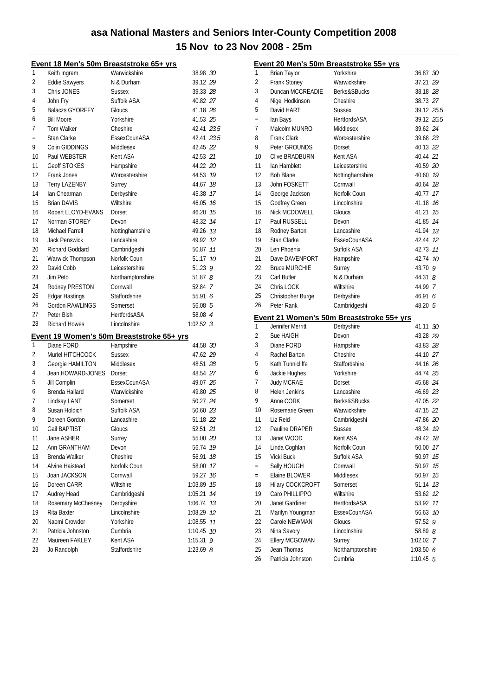|     |                        | Event 18 Men's 50m Breaststroke 65+ yrs   |               |    |
|-----|------------------------|-------------------------------------------|---------------|----|
| 1   | Keith Ingram           | Warwickshire                              | 38.98 30      |    |
| 2   | <b>Eddie Sawyers</b>   | N & Durham                                | 39.12 29      |    |
| 3   | Chris JONES            | <b>Sussex</b>                             | 39.33 28      |    |
| 4   | John Fry               | Suffolk ASA                               | 40.82 27      |    |
| 5   | Balaczs GYORFFY        | Gloucs                                    | 41.18 26      |    |
| 6   | <b>Bill Moore</b>      | Yorkshire                                 | 41.53 25      |    |
| 7   | <b>Tom Walker</b>      | Cheshire                                  | 42.41 23.5    |    |
| $=$ | Stan Clarke            | EssexCounASA                              | 42.41 23.5    |    |
| 9   | Colin GIDDINGS         | Middlesex                                 | 42.45 22      |    |
| 10  | Paul WEBSTER           | Kent ASA                                  | 42.53 21      |    |
| 11  | <b>Geoff STOKES</b>    | Hampshire                                 | 44.22 20      |    |
| 12  | Frank Jones            | Worcestershire                            | 44.53 19      |    |
| 13  | <b>Terry LAZENBY</b>   | Surrey                                    | 44.67 18      |    |
| 14  | Ian Chearman           | Derbyshire                                | 45.38 17      |    |
| 15  | <b>Brian DAVIS</b>     | Wiltshire                                 | 46.05 16      |    |
| 16  | Robert LLOYD-EVANS     | Dorset                                    | 46.20 15      |    |
| 17  | Norman STOREY          | Devon                                     | 48.32 74      |    |
| 18  | Michael Farrell        | Nottinghamshire                           | 49.26 13      |    |
| 19  | <b>Jack Penswick</b>   | Lancashire                                | 49.92 12      |    |
| 20  | <b>Richard Goddard</b> | Cambridgeshi                              | 50.87 11      |    |
| 21  | Warwick Thompson       | Norfolk Coun                              | 51.17 10      |    |
| 22  | David Cobb             | Leicestershire                            | 51.23 $9$     |    |
| 23  | Jim Peto               | Northamptonshire                          | 51.87 $8$     |    |
| 24  | Rodney PRESTON         | Cornwall                                  | 52.84 7       |    |
| 25  | <b>Edgar Hastings</b>  | Staffordshire                             | 55.91 6       |    |
| 26  | Gordon RAWLINGS        | Somerset                                  | 56.08 5       |    |
| 27  | Peter Bish             | <b>HertfordsASA</b>                       | 58.08 4       |    |
| 28  | <b>Richard Howes</b>   | Lincolnshire                              | $1:02.52$ 3   |    |
|     |                        | Event 19 Women's 50m Breaststroke 65+ yrs |               |    |
| 1   | Diane FORD             | Hampshire                                 | 44.58 30      |    |
| 2   | Muriel HITCHCOCK       | <b>Sussex</b>                             | 47.62 29      |    |
| 3   | Georgie HAMILTON       | Middlesex                                 | 48.51 28      |    |
| 4   | Jean HOWARD-JONES      | Dorset                                    | 48.54 27      |    |
| 5   | Jill Complin           | EssexCounASA                              | 49.07 26      |    |
| 6   | Brenda Hallard         | Warwickshire                              | 49.80 25      |    |
| 7   | Lindsay LANT           | Somerset                                  | 50.27 24      |    |
| 8   | Susan Holdich          | Suffolk ASA                               | 50.60 23      |    |
| 9   | Doreen Gordon          | Lancashire                                | 51.18 22      |    |
| 10  | Gail BAPTIST           | Gloucs                                    | 52.51 21      |    |
| 11  | Jane ASHER             | Surrey                                    | 55.00 20      |    |
| 12  | Ann GRANTHAM           | Devon                                     | 56.74         | 19 |
| 13  | Brenda Walker          | Cheshire                                  | 56.91         | 18 |
| 14  | Alvine Haistead        | Norfolk Coun                              | 58.00 17      |    |
| 15  | Joan JACKSON           | Cornwall                                  | 59.27         | 16 |
| 16  | Doreen CARR            | Wiltshire                                 | 1:03.89       | 15 |
| 17  | Audrey Head            | Cambridgeshi                              | 1:05.21       | 14 |
| 18  | Rosemary McChesney     | Derbyshire                                | 1:06.74       | 13 |
| 19  | Rita Baxter            | Lincolnshire                              | 1:08.29 12    |    |
| 20  | Naomi Crowder          | Yorkshire                                 | 1:08.55       | 11 |
| 21  | Patricia Johnston      | Cumbria                                   | 1:10.45 10    |    |
| 22  | Maureen FAKLEY         | Kent ASA                                  | 1:15.31       | 9  |
| 23  | Jo Randolph            | Staffordshire                             | $1:23.69$ $8$ |    |

|          |                                  | Event 20 Men's 50m Breaststroke 55+ yrs   |                         |
|----------|----------------------------------|-------------------------------------------|-------------------------|
| 1        | <b>Brian Taylor</b>              | Yorkshire                                 | 36.87 30                |
| 2        | Frank Stoney                     | Warwickshire                              | 37.21 29                |
| 3        | Duncan MCCREADIE                 | Berks&SBucks                              | 38.18 28                |
| 4        | Nigel Hodkinson                  | Cheshire                                  | 38.73 27                |
| 5        | David HART                       | <b>Sussex</b>                             | 39.12 25.5              |
| $=$      | lan Bays                         | <b>HertfordsASA</b>                       | 39.12 25.5              |
| 7        | Malcolm MUNRO                    | Middlesex                                 | 39.62 24                |
| 8        | <b>Frank Clark</b>               | Worcestershire                            | 39.68 23                |
| 9        | Peter GROUNDS                    | Dorset                                    | 40.13 22                |
| 10       | Clive BRADBURN                   | Kent ASA                                  | 40.44 21                |
| 11       | Ian Hamblett                     | Leicestershire                            | 40.59 20                |
| 12       | <b>Bob Blane</b>                 | Nottinghamshire                           | 40.60 79                |
| 13       | John FOSKETT                     | Cornwall                                  | 40.64 18                |
| 14       | George Jackson                   | Norfolk Coun                              | 40.77 17                |
| 15       | Godfrey Green                    | Lincolnshire                              | 41.18 16                |
| 16       | Nick MCDOWELL                    | Gloucs                                    | 41.21 15                |
| 17       | Paul RUSSELL                     | Devon                                     | 41.85 14                |
| 18       | Rodney Barton                    | Lancashire                                | 41.94 13                |
| 19       | Stan Clarke                      | EssexCounASA                              | 42.44 12                |
| 20       | Len Phoenix                      | Suffolk ASA                               | 42.73 11                |
| 21       | Dave DAVENPORT                   | Hampshire                                 | 42.74 10                |
| 22       | <b>Bruce MURCHIE</b>             | Surrey                                    | 43.70 9                 |
| 23       | Carl Butler                      | N & Durham                                | 44.31 8                 |
| 24       | Chris LOCK                       | Wiltshire                                 | 44.99 7                 |
| 25       | Christopher Burge                | Derbyshire                                | 46.91 6                 |
| 26       | Peter Rank                       | Cambridgeshi                              | 48.20 5                 |
|          |                                  | Event 21 Women's 50m Breaststroke 55+ yrs |                         |
| 1        | Jennifer Merritt                 | Derbyshire                                | 41.11 30                |
| 2        | Sue HAIGH                        | Devon                                     | 43.28 29                |
| 3        | Diane FORD                       | Hampshire                                 | 43.83 28                |
| 4        | Rachel Barton                    | Cheshire                                  | 44.10 27                |
| 5        | Kath Tunnicliffe                 | Staffordshire                             | 44.16 26                |
| 6        | Jackie Hughes                    | Yorkshire                                 | 44.74 25                |
| 7        | <b>Judy MCRAE</b>                | Dorset                                    | 45.68 24                |
| 8        | Helen Jenkins                    | Lancashire                                | 46.69 23                |
| 9        | Anne CORK                        | <b>Berks&amp;SBucks</b>                   | 47.05 22                |
| 10       | Rosemarie Green                  | Warwickshire                              | 47.15 21                |
| 11       | Liz Reid                         | Cambridgeshi                              | 47.86 20                |
| 12       | Pauline DRAPER                   | Sussex                                    | 48.34 19                |
| 13       | Janet WOOD                       | Kent ASA                                  | 49.42<br>18             |
| 14       | Linda Coghlan                    | Norfolk Coun                              | 17<br>50.00             |
| 15       | Vicki Buck                       | Suffolk ASA                               | 50.97<br>15             |
| $=$      | Sally HOUGH                      | Cornwall                                  | 50.97<br>15             |
| $=$      | Elaine BLOWER                    | Middlesex                                 | 50.97<br>15             |
| 18       | Hilary COCKCROFT                 | Somerset                                  | 13<br>51.14             |
| 19       | Caro PHILLIPPO                   | Wiltshire                                 | 12<br>53.62             |
| 20       | Janet Gardiner                   | HertfordsASA                              | 11<br>53.92             |
| 21       | Marilyn Youngman                 | EssexCounASA                              | 56.63<br>10             |
| 22       | Carole NEWMAN                    | Gloucs                                    | 57.52<br>9              |
| 23       | Nina Savory                      | Lincolnshire                              | 58.89 <i>8</i>          |
| 24<br>25 | Ellery MCGOWAN                   | Surrey                                    | 1:02.02 7               |
| 26       | Jean Thomas<br>Patricia Johnston | Northamptonshire<br>Cumbria               | 1:03.506<br>$1:10.45$ 5 |
|          |                                  |                                           |                         |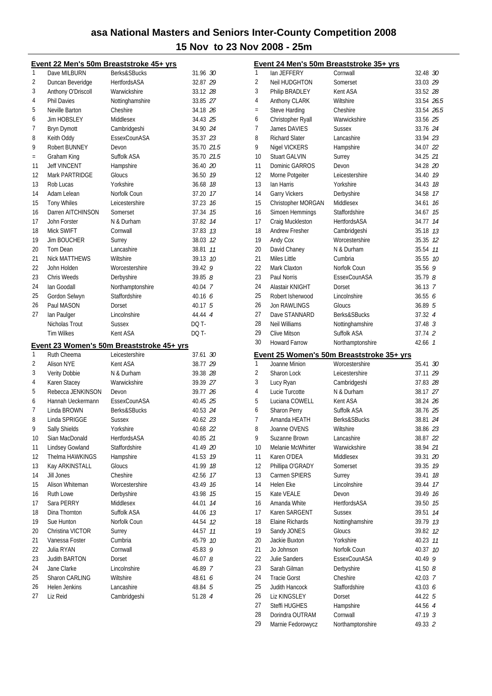|          |                           | Event 22 Men's 50m Breaststroke 45+ yrs   |                    |    |
|----------|---------------------------|-------------------------------------------|--------------------|----|
| 1        | Dave MILBURN              | Berks&SBucks                              | 31.96 30           |    |
| 2        | Duncan Beveridge          | <b>HertfordsASA</b>                       | 32.87 29           |    |
| 3        | Anthony O'Driscoll        | Warwickshire                              | 33.12 28           |    |
| 4        | <b>Phil Davies</b>        | Nottinghamshire                           | 33.85 27           |    |
| 5        | Neville Barton            | Cheshire                                  | 34.18 26           |    |
| 6        | <b>Jim HOBSLEY</b>        | Middlesex                                 | 34.43 25           |    |
| 7        | <b>Bryn Dymott</b>        | Cambridgeshi                              | 34.90 24           |    |
| 8        | Keith Oddy                | EssexCounASA                              | 35.37 23           |    |
| 9        | Robert BUNNEY             | Devon                                     | 35.70 21.5         |    |
| $=$      | Graham King               | Suffolk ASA                               | 35.70 21.5         |    |
| 11       | <b>Jeff VINCENT</b>       | Hampshire                                 | 36.40 20           |    |
| 12       | Mark PARTRIDGE            | Gloucs                                    | 36.50 19           |    |
| 13       | Rob Lucas                 | Yorkshire                                 | 36.68 18           |    |
| 14       | Adam Lelean               | Norfolk Coun                              | 37.20 17           |    |
| 15       | <b>Tony Whiles</b>        | Leicestershire                            | 37.23 16           |    |
| 16       | Darren AITCHINSON         | Somerset                                  | 37.34 15           |    |
| 17       | John Forster              | N & Durham                                | 37.82 14           |    |
| 18       | Mick SWIFT                | Cornwall                                  | 37.83 13           |    |
| 19       | <b>Jim BOUCHER</b>        | Surrey                                    | 38.03 12           |    |
| 20       | Tom Dean                  | Lancashire                                | 38.81              | 11 |
| 21       | <b>Nick MATTHEWS</b>      | Wiltshire                                 | 39.13 10           |    |
| 22       | John Holden               | Worcestershire                            | $39.42$ 9          |    |
| 23       | Chris Weeds               | Derbyshire                                | 39.858             |    |
| 24       | Ian Goodall               | Northamptonshire                          | 40.04 7            |    |
| 25       | Gordon Selwyn             | Staffordshire                             | 40.16 $6$          |    |
| 26       | Paul MASON                | Dorset                                    | 40.17 5            |    |
| 27       | lan Paulger               | Lincolnshire                              | 44.44 4            |    |
|          | Nicholas Trout            | <b>Sussex</b>                             | DQ T-              |    |
|          |                           |                                           |                    |    |
|          |                           |                                           |                    |    |
|          | <b>Tim Wilkes</b>         | Kent ASA                                  | DQ T-              |    |
|          |                           | Event 23 Women's 50m Breaststroke 45+ yrs |                    |    |
| 1        | Ruth Cheema               | Leicestershire                            | 37.61 30           |    |
| 2        | <b>Alison NYE</b>         | Kent ASA                                  | 38.77 29           |    |
| 3        | Verity Dobbie             | N & Durham                                | 39.38 28           |    |
| 4        | Karen Stacey              | Warwickshire                              | 39.39 27           |    |
| 5        | Rebecca JENKINSON         | Devon                                     | 39.77 26           |    |
| 6        | Hannah Ueckermann         | EssexCounASA                              | 40.45 25           |    |
| 7        | Linda BROWN               | Berks&SBucks                              | 40.53 24           |    |
| 8        | Linda SPRIGGE             | <b>Sussex</b>                             | 40.62 23           |    |
| 9        | Sally Shields             | Yorkshire                                 | 40.68 22           |    |
| 10       | Sian MacDonald            | HertfordsASA                              | 40.85 21           |    |
| 11       | Lindsey Gowland           | Staffordshire                             | 41.49 20           |    |
| 12       | Thelma HAWKINGS           | Hampshire                                 | 41.53              | 19 |
| 13       | Kay ARKINSTALL            | Gloucs                                    | 41.99              | 18 |
| 14       | Jill Jones                | Cheshire                                  | 42.56              | 17 |
| 15       | Alison Whiteman           | Worcestershire                            | 43.49 16           |    |
| 16       | Ruth Lowe                 | Derbyshire                                | 43.98              | 15 |
| 17       | Sara PERRY                | Middlesex                                 | 44.01              | 14 |
| 18       | Dina Thornton             | Suffolk ASA                               | 44.06 13           |    |
| 19       | Sue Hunton                | Norfolk Coun                              | 44.54 12           |    |
| 20       | Christina VICTOR          | Surrey                                    | 44.57              | 11 |
| 21       | Vanessa Foster            | Cumbria                                   | 45.79 10           |    |
| 22       | Julia RYAN                | Cornwall                                  | 45.83 9            |    |
| 23       | <b>Judith BARTON</b>      | Dorset                                    | 46.078             |    |
| 24       | Jane Clarke               | Lincolnshire                              | 46.89 7            |    |
| 25       | Sharon CARLING            | Wiltshire                                 | 48.61 <i>6</i>     |    |
| 26<br>27 | Helen Jenkins<br>Liz Reid | Lancashire<br>Cambridgeshi                | 48.84 5<br>51.28 4 |    |

|     |                       | Event 24 Men's 50m Breaststroke 35+ yrs   |                    |    |
|-----|-----------------------|-------------------------------------------|--------------------|----|
| 1   | lan JEFFERY           | Cornwall                                  | 32.48 30           |    |
| 2   | Neil HUDGHTON         | Somerset                                  | 33.03 29           |    |
| 3   | Philip BRADLEY        | Kent ASA                                  | 33.52 28           |    |
| 4   | Anthony CLARK         | Wiltshire                                 | 33.54 26.5         |    |
| $=$ | Steve Harding         | Cheshire                                  | 33.54 26.5         |    |
| 6   | Christopher Ryall     | Warwickshire                              | 33.56 25           |    |
| 7   | James DAVIES          | Sussex                                    | 33.76 24           |    |
| 8   | <b>Richard Slater</b> | Lancashire                                | 33.94 23           |    |
| 9   | Nigel VICKERS         | Hampshire                                 | 34.07 22           |    |
| 10  | <b>Stuart GALVIN</b>  | Surrey                                    | 34.25 21           |    |
| 11  | Dominic GARROS        | Devon                                     | 34.28 20           |    |
| 12  | Morne Potgeiter       | Leicestershire                            | 34.40 19           |    |
| 13  | lan Harris            | Yorkshire                                 | 34.43 18           |    |
| 14  | <b>Garry Vickers</b>  | Derbyshire                                | 34.58 17           |    |
| 15  | Christopher MORGAN    | Middlesex                                 | 34.61 76           |    |
| 16  | Simoen Hemmings       | Staffordshire                             | 34.67 15           |    |
| 17  | Craig Muckleston      | HertfordsASA                              | 34.77              | 14 |
| 18  | <b>Andrew Fresher</b> | Cambridgeshi                              | 35.18 73           |    |
| 19  | Andy Cox              | Worcestershire                            | 35.35 12           |    |
| 20  | David Chaney          | N & Durham                                | 35.54              | 11 |
| 21  | Miles Little          | Cumbria                                   | 35.55 10           |    |
| 22  | Mark Claxton          | Norfolk Coun                              | $35.56$ 9          |    |
| 23  | Paul Norris           | EssexCounASA                              | 35.798             |    |
| 24  | Alastair KNIGHT       | Dorset                                    | $36.13 \t 7$       |    |
| 25  | Robert Isherwood      | Lincolnshire                              | 36.556             |    |
| 26  | <b>Jon RAWLINGS</b>   | Gloucs                                    | 36.895             |    |
| 27  | Dave STANNARD         | Berks&SBucks                              | 37.32 4            |    |
| 28  | Neil Williams         | Nottinghamshire                           | 37.48 <sup>3</sup> |    |
| 29  | <b>Clive Mitson</b>   | Suffolk ASA                               | 37.74 2            |    |
| 30  | <b>Howard Farrow</b>  | Northamptonshire                          | 42.66 7            |    |
|     |                       |                                           |                    |    |
|     |                       |                                           |                    |    |
|     |                       | Event 25 Women's 50m Breaststroke 35+ yrs |                    |    |
| 1   | Joanne Minion         | Worcestershire                            | 35.41 30           |    |
| 2   | Sharon Lock           | Leicestershire                            | 37.11 29           |    |
| 3   | Lucy Ryan             | Cambridgeshi                              | 37.83 28           |    |
| 4   | Lucie Turcotte        | N & Durham                                | 38.17 27           |    |
| 5   | Luciana COWELL        | Kent ASA                                  | 38.24 26           |    |
| 6   | <b>Sharon Perrv</b>   | Suffolk ASA                               | 38.76 25           |    |
| 7   | Amanda HEATH          | Berks&SBucks                              | 38.81 24           |    |
| 8   | Joanne OVENS          | Wiltshire                                 | 38.86 23           |    |
| 9   | Suzanne Brown         | Lancashire                                | 38.87 22           |    |
| 10  | Melanie McWhirter     | Warwickshire                              | 38.94 21           |    |
| 11  | Karen O'DEA           | Middlesex                                 | 39.31 20           |    |
| 12  | Phillipa O'GRADY      | Somerset                                  | 39.35 19           |    |
| 13  | Carmen SPIERS         | Surrey                                    | 39.41              | 18 |
| 14  | Helen Eke             | Lincolnshire                              | 39.44              | 17 |
| 15  | Kate VEALE            | Devon                                     | 39.49              | 16 |
| 16  | Amanda White          | <b>HertfordsASA</b>                       | 39.50              | 15 |
| 17  | Karen SARGENT         | <b>Sussex</b>                             | 39.51              | 14 |
| 18  | Elaine Richards       | Nottinghamshire                           | 39.79 13           |    |
| 19  | Sandy JONES           | Gloucs                                    | 39.82 12           |    |
| 20  | Jackie Buxton         | Yorkshire                                 | 40.23 11           |    |
| 21  | Jo Johnson            | Norfolk Coun                              | 40.37              | 10 |
| 22  | Julie Sanders         | EssexCounASA                              | 40.49              | 9  |
| 23  | Sarah Gilman          | Derbyshire                                | 41.508             |    |
| 24  | <b>Tracie Gorst</b>   | Cheshire                                  | 42.03 7            |    |
| 25  | Judith Hancock        | Staffordshire                             | 43.03 6            |    |
| 26  | Liz KINGSLEY          | Dorset                                    | 44.22 5            |    |
| 27  | Steffi HUGHES         | Hampshire                                 | 44.56 4            |    |
| 28  | Dorindra OUTRAM       | Cornwall                                  | 47.19 3            |    |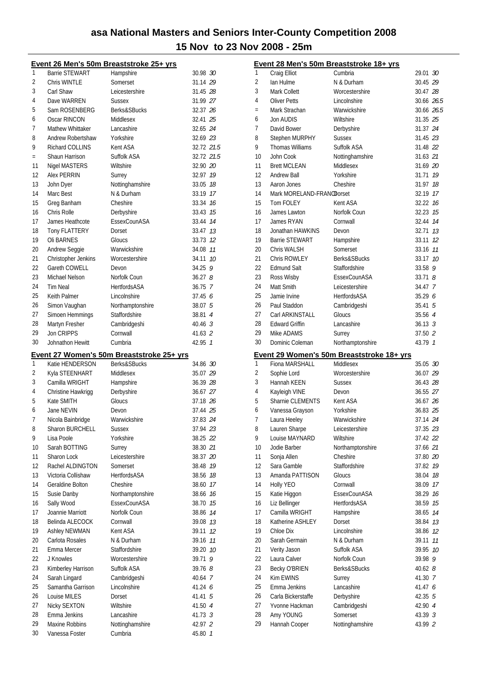|          | Event 26 Men's 50m Breaststroke 25+ yrs |                                           |                    |  |
|----------|-----------------------------------------|-------------------------------------------|--------------------|--|
| 1        | <b>Barrie STEWART</b>                   | Hampshire                                 | 30.98 30           |  |
| 2        | Chris WINTLE                            | Somerset                                  | 31.14 29           |  |
| 3        | Carl Shaw                               | Leicestershire                            | 31.45 28           |  |
| 4        | Dave WARREN                             | <b>Sussex</b>                             | 31.99 27           |  |
| 5        | Sam ROSENBERG                           | Berks&SBucks                              | 32.37 26           |  |
| 6        | Oscar RINCON                            | Middlesex                                 | 32.41 25           |  |
| 7        | Mathew Whittaker                        | Lancashire                                | 32.65 24           |  |
| 8        | Andrew Robertshaw                       | Yorkshire                                 | 32.69 23           |  |
| 9        | <b>Richard COLLINS</b>                  | Kent ASA                                  | 32.72 21.5         |  |
| $\equiv$ | Shaun Harrison                          | Suffolk ASA                               | 32.72 21.5         |  |
| 11       | Nigel MASTERS                           | Wiltshire                                 | 32.90 20           |  |
| 12       | Alex PERRIN                             | Surrey                                    | 32.97 19           |  |
| 13       | John Dyer                               | Nottinghamshire                           | 33.05 78           |  |
| 14       | Marc Best                               | N & Durham                                | 33.19 17           |  |
| 15       | Greg Banham                             | Cheshire                                  | 33.34 16           |  |
| 16       | Chris Rolle                             | Derbyshire                                | 33.43 75           |  |
| 17       | James Heathcote                         | EssexCounASA                              | 33.44 74           |  |
| 18       | <b>Tony FLATTERY</b>                    | Dorset                                    | 33.47 13           |  |
| 19       | Oli BARNES                              | Gloucs                                    | 33.73 12           |  |
| 20       | Andrew Seggie                           | Warwickshire                              | 34.08 77           |  |
| 21       | Christopher Jenkins                     | Worcestershire                            | 34.11 10           |  |
| 22       | Gareth COWELL                           | Devon                                     | $34.25$ 9          |  |
| 23       | Michael Nelson                          | Norfolk Coun                              | 36.278             |  |
| 24       | Tim Neal                                | <b>HertfordsASA</b>                       | 36.75 7            |  |
| 25       | <b>Keith Palmer</b>                     | Lincolnshire                              | 37.45 6            |  |
| 26       | Simon Vaughan                           | Northamptonshire                          | 38.07 5            |  |
| 27       | Simoen Hemmings                         | Staffordshire                             | 38.81 4            |  |
| 28       | Martyn Fresher                          | Cambridgeshi                              | $40.46 \text{ } 3$ |  |
| 29       | Jon CRIPPS                              | Cornwall                                  | 41.63 2            |  |
| 30       | Johnathon Hewitt                        | Cumbria                                   | 42.95 1            |  |
|          |                                         |                                           |                    |  |
|          |                                         |                                           |                    |  |
|          |                                         | Event 27 Women's 50m Breaststroke 25+ yrs |                    |  |
| 1        | Katie HENDERSON                         | Berks&SBucks                              | 34.86 30           |  |
| 2        | Kyla STEENHART                          | Middlesex                                 | 35.07 29           |  |
| 3        | Camilla WRIGHT                          | Hampshire                                 | 36.39 28           |  |
| 4        | Christine Hawkrigg                      | Derbyshire                                | 36.67 27           |  |
| 5        | Kate SMITH                              | Gloucs                                    | 37.18 26           |  |
| 6        | Jane NEVIN                              | Devon                                     | 37.44 25           |  |
| 7        | Nicola Bainbridge                       | Warwickshire                              | 37.83 24           |  |
| 8        | <b>Sharon BURCHELL</b>                  | Sussex                                    | 37.94 23           |  |
| 9        | Lisa Poole                              | Yorkshire                                 | 38.25 22           |  |
| 10       | Sarah BOTTING                           | Surrey                                    | 38.30 21           |  |
| 11       | Sharon Lock                             | Leicestershire                            | 38.37 20           |  |
| 12       | Rachel ALDINGTON                        | Somerset                                  | 38.48 19           |  |
| 13       | Victoria Collishaw                      | <b>HertfordsASA</b>                       | 38.56 18           |  |
| 14       | Geraldine Bolton                        | Cheshire                                  | 38.60 17           |  |
| 15       | Susie Danby                             | Northamptonshire                          | 38.66 16           |  |
| 16       | Sally Wood                              | EssexCounASA                              | 38.70 15           |  |
| 17       | Joannie Marriott                        | Norfolk Coun                              | 38.86 14           |  |
| 18       | Belinda ALECOCK                         | Cornwall                                  | 39.08 13           |  |
| 19       | Ashley NEWMAN                           | Kent ASA                                  | 39.11 12           |  |
| 20       | Carlota Rosales                         | N & Durham                                | 39.16 11           |  |
| 21       | Emma Mercer                             | Staffordshire                             | 39.20 10           |  |
| 22       | J Knowles                               | Worcestershire                            | 39.71 9            |  |
| 23       | Kimberley Harrison                      | Suffolk ASA                               | 39.76 8            |  |
| 24       | Sarah Lingard                           | Cambridgeshi                              | 40.64 7            |  |
| 25       | Samantha Garrison                       | Lincolnshire                              | 41.24 6            |  |
| 26       | Louise MILES                            | Dorset                                    | 41.41 5            |  |
| 27       | Nicky SEXTON                            | Wiltshire                                 | 41.50 4            |  |
| 28       | Emma Jenkins                            | Lancashire                                | 41.73 3            |  |
| 29       | Maxine Robbins                          | Nottinghamshire                           | 42.97 2            |  |

|          |                            | Event 28 Men's 50m Breaststroke 18+ yrs   |                    |  |
|----------|----------------------------|-------------------------------------------|--------------------|--|
| 1        | Craig Elliot               | Cumbria                                   | 29.01 30           |  |
| 2        | lan Hulme                  | N & Durham                                | 30.45 29           |  |
| 3        | Mark Collett               | Worcestershire                            | 30.47 28           |  |
| 4        | <b>Oliver Petts</b>        | Lincolnshire                              | 30.66 26.5         |  |
| $=$      | Mark Strachan              | Warwickshire                              | 30.66 26.5         |  |
| 6        | Jon AUDIS                  | Wiltshire                                 | 31.35 25           |  |
| 7        | David Bower                | Derbyshire                                | 31.37 24           |  |
| 8        | Stephen MURPHY             | <b>Sussex</b>                             | 31.45 23           |  |
| 9        | Thomas Williams            | Suffolk ASA                               | 31.48 22           |  |
| 10       | John Cook                  | Nottinghamshire                           | 31.63 21           |  |
| 11       | <b>Brett MCLEAN</b>        | Middlesex                                 | 31.69 20           |  |
| 12       | Andrew Ball                | Yorkshire                                 | 31.71 19           |  |
| 13       | Aaron Jones                | Cheshire                                  | 31.97 18           |  |
| 14       | Mark MORELAND-FRANODorset  |                                           | 32.19 17           |  |
| 15       | Tom FOLEY                  | Kent ASA                                  | 32.22 16           |  |
| 16       | James Lawton               | Norfolk Coun                              | 32.23 15           |  |
| 17       | James RYAN                 | Cornwall                                  | 32.44 14           |  |
| 18       | Jonathan HAWKINS           | Devon                                     | 32.71 13           |  |
| 19       | <b>Barrie STEWART</b>      | Hampshire                                 | 33.11 12           |  |
| 20       | Chris WALSH                | Somerset                                  | 33.16 11           |  |
| 21       | Chris ROWLEY               | Berks&SBucks                              | 33.17 10           |  |
| 22       | <b>Edmund Salt</b>         | Staffordshire                             | 33.58 9            |  |
| 23       | Ross Wisby                 | EssexCounASA                              | 33.718             |  |
| 24       | Matt Smith                 | Leicestershire                            | 34.47 7            |  |
| 25       | Jamie Irvine               | <b>HertfordsASA</b>                       | 35.29 6            |  |
| 26       | Paul Staddon               | Cambridgeshi                              | $35.41\;\;5$       |  |
| 27       | Carl ARKINSTALL            | Gloucs                                    | 35.56 4            |  |
| 28       | <b>Edward Griffin</b>      | Lancashire                                | $36.13 \text{ } 3$ |  |
| 29       | Mike ADAMS                 | Surrey                                    | 37.50 2            |  |
| 30       | Dominic Coleman            | Northamptonshire                          | 43.79 1            |  |
|          |                            |                                           |                    |  |
|          |                            | Event 29 Women's 50m Breaststroke 18+ yrs |                    |  |
| 1        | Fiona MARSHALL             | Middlesex                                 | 35.05 30           |  |
| 2        | Sophie Lord                | Worcestershire                            | 36.07 29           |  |
| 3        | Hannah KEEN                | <b>Sussex</b>                             | 36.43 28           |  |
| 4        | Kayleigh VINE              | Devon                                     | 36.55 27           |  |
| 5        | Sharnie CLEMENTS           | Kent ASA                                  | 36.67 26           |  |
| 6        | Vanessa Grayson            | Yorkshire                                 | 36.83 25           |  |
| 7        | Laura Heeley               | Warwickshire                              | 37.14 24           |  |
| 8        | Lauren Sharpe              | Leicestershire                            | 37.35 23           |  |
| 9        | Louise MAYNARD             | Wiltshire                                 | 37.42 22           |  |
| 10       | Jodie Barber               | Northamptonshire                          | 37.66 21           |  |
| 11       | Sonja Allen                | Cheshire                                  | 37.80 20           |  |
| 12       | Sara Gamble                | <b>Staffordshire</b>                      | 37.82 19           |  |
| 13       | Amanda PATTISON            | Gloucs                                    | 38.04<br>18        |  |
| 14       | Holly YEO                  | Cornwall                                  | 38.09 17           |  |
| 15       | Katie Higgon               | EssexCounASA                              | 38.29 16           |  |
| 16       | Liz Bellinger              | <b>HertfordsASA</b>                       | 38.59 15           |  |
| 17       | Camilla WRIGHT             | Hampshire                                 | 14<br>38.65        |  |
| 18       | Katherine ASHLEY           | Dorset                                    | 38.84<br>13        |  |
| 19       | Chloe Dix                  | Lincolnshire                              | 38.86<br>12        |  |
| 20       | Sarah Germain              | N & Durham                                | 39.11<br>11        |  |
| 21       | Verity Jason               | Suffolk ASA                               | 10<br>39.95        |  |
| 22       | Laura Calver               | Norfolk Coun                              | 39.98 9            |  |
| 23       | Becky O'BRIEN              | Berks&SBucks                              | $40.62$ $8$        |  |
| 24       | Kim EWINS                  | Surrey                                    | 41.30 7            |  |
| 25       | Emma Jenkins               | Lancashire                                | 41.47 6            |  |
| 26       | Carla Bickerstaffe         | Derbyshire                                | 42.35 5            |  |
| 27       | Yvonne Hackman             | Cambridgeshi                              | 42.90 4            |  |
| 28<br>29 | Amy YOUNG<br>Hannah Cooper | Somerset<br>Nottinghamshire               | 43.39 3<br>43.99 2 |  |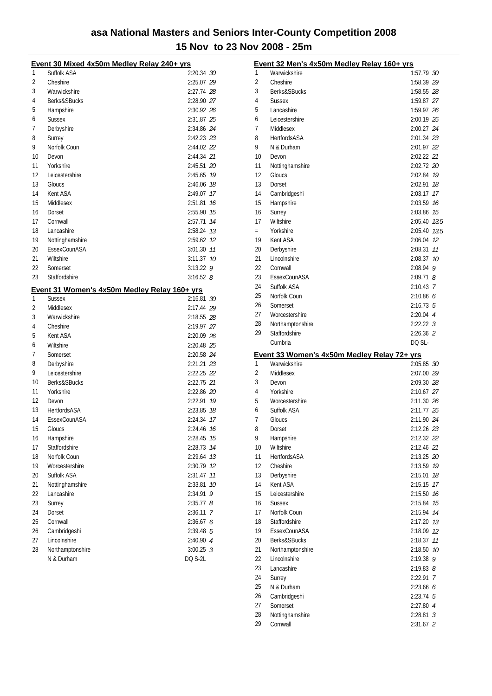|    | Event 30 Mixed 4x50m Medley Relay 240+ yrs   |             |      |
|----|----------------------------------------------|-------------|------|
| 1  | Suffolk ASA                                  | 2:20.34 30  |      |
| 2  | Cheshire                                     | 2:25.07 29  |      |
| 3  | Warwickshire                                 | 2:27.74 28  |      |
| 4  | Berks&SBucks                                 | 2:28.90 27  |      |
| 5  | Hampshire                                    | 2:30.92 26  |      |
| 6  | <b>Sussex</b>                                | 2:31.87 25  |      |
| 7  | Derbyshire                                   | 2:34.86 24  |      |
| 8  | Surrey                                       | 2:42.23 23  |      |
| 9  | Norfolk Coun                                 | 2:44.02 22  |      |
| 10 | Devon                                        | 2:44.34 21  |      |
| 11 | Yorkshire                                    | 2:45.51 20  |      |
| 12 | Leicestershire                               | 2:45.65     | 19   |
| 13 | Gloucs                                       | 2:46.06     | 18   |
| 14 | Kent ASA                                     | 2:49.07     | 17   |
| 15 | Middlesex                                    | 2:51.81     | 16   |
| 16 | Dorset                                       | 2:55.90     | 15   |
| 17 | Cornwall                                     | 2:57.71 74  |      |
| 18 | Lancashire                                   | 2:58.24 13  |      |
| 19 | Nottinghamshire                              | 2:59.62     | 12   |
| 20 | EssexCounASA                                 | 3:01.30     | 11   |
| 21 | Wiltshire                                    | 3:11.37     | - 10 |
| 22 | Somerset                                     | $3:13.22$ 9 |      |
| 23 | Staffordshire                                | $3:16.52$ 8 |      |
|    | Event 31 Women's 4x50m Medley Relay 160+ yrs |             |      |
| 1  | <b>Sussex</b>                                | 2:16.81 30  |      |
| 2  | Middlesex                                    | 2:17.44 29  |      |
| 3  | Warwickshire                                 | 2:18.55 28  |      |
| 4  | Cheshire                                     | 2:19.97 27  |      |
| 5  | Kent ASA                                     | 2:20.09 26  |      |
| 6  | Wiltshire                                    | 2:20.48 25  |      |
| 7  | Somerset                                     | 2:20.58 24  |      |
| 8  | Derbyshire                                   | 2:21.21 23  |      |
| 9  | Leicestershire                               | 2:22.25 22  |      |
| 10 | Berks&SBucks                                 | 2:22.75 21  |      |
| 11 | Yorkshire                                    | 2:22.86 20  |      |
| 12 | Devon                                        | 2:22.91 19  |      |
| 13 | <b>HertfordsASA</b>                          | 2:23.85     | 18   |
| 14 | EssexCounASA                                 | 2:24.34     | 17   |
| 15 | Gloucs                                       | 2:24.46 76  |      |
| 16 | Hampshire                                    | 2:28.45     | 15   |
| 17 | Staffordshire                                | 2:28.73     | 14   |
| 18 | Norfolk Coun                                 | 2:29.64     | 13   |
| 19 | Worcestershire                               | 2:30.79     | 12   |
| 20 | Suffolk ASA                                  | 2:31.47     | 11   |
| 21 | Nottinghamshire                              | 2:33.81     | 10   |
| 22 | Lancashire                                   | 2:34.91     | 9    |
| 23 | Surrey                                       | 2:35.77     | 8    |
| 24 | Dorset                                       | 2:36.11     | 7    |
| 25 | Cornwall                                     | 2:36.67     | 6    |
| 26 | Cambridgeshi                                 | $2:39.48$ 5 |      |
| 27 | Lincolnshire                                 | 2:40.90 4   |      |
| 28 | Northamptonshire                             | $3:00.25$ 3 |      |
|    | N & Durham                                   | DQ S-2L     |      |

|          | Event 32 Men's 4x50m Medley Relay 160+ yrs  |                     |         |
|----------|---------------------------------------------|---------------------|---------|
| 1        | Warwickshire                                | 1:57.79 30          |         |
| 2        | Cheshire                                    | 1:58.39 29          |         |
| 3        | Berks&SBucks                                | 1:58.55 28          |         |
| 4        | <b>Sussex</b>                               | 1:59.87 27          |         |
| 5        | Lancashire                                  | 1:59.97 26          |         |
| 6        | Leicestershire                              | 2:00.19 25          |         |
| 7        | Middlesex                                   | 2:00.27 24          |         |
| 8        | <b>HertfordsASA</b>                         | 2:01.34 23          |         |
| 9        | N & Durham                                  | 2:01.97 22          |         |
| 10       | Devon                                       | 2:02.22 21          |         |
| 11       | Nottinghamshire                             | 2:02.72 20          |         |
| 12       | Gloucs                                      | 2:02.84 19          |         |
| 13       | Dorset                                      | 2:02.91 18          |         |
| 14       | Cambridgeshi                                | 2:03.17 17          |         |
| 15       | Hampshire                                   | 2:03.59 16          |         |
| 16       | Surrey                                      | 2:03.86 75          |         |
| 17       | Wiltshire                                   | 2:05.40 73.5        |         |
| $=$      | Yorkshire                                   | 2:05.40 73.5        |         |
| 19       | Kent ASA                                    | 2:06.04 12          |         |
| 20       | Derbyshire                                  | 2:08.31             | 11      |
| 21       | Lincolnshire                                | 2:08.37 10          |         |
| 22       | Cornwall                                    | $2:08.94$ 9         |         |
| 23       | EssexCounASA                                | $2:09.71$ $8$       |         |
| 24       | Suffolk ASA                                 | 2:10.43 7           |         |
| 25       | Norfolk Coun                                | 2:10.866            |         |
| 26       | Somerset                                    | $2:16.73$ 5         |         |
| 27       | Worcestershire                              | $2:20.04$ 4         |         |
| 28       | Northamptonshire                            | 2:22.223            |         |
| 29       | Staffordshire                               | $2:26.36$ 2         |         |
|          |                                             |                     |         |
|          | Cumbria                                     | DQ SL-              |         |
|          | Event 33 Women's 4x50m Medley Relay 72+ yrs |                     |         |
| 1        | Warwickshire                                | 2:05.85 30          |         |
| 2        | Middlesex                                   | 2:07.00 29          |         |
| 3        | Devon                                       | 2:09.30 28          |         |
| 4        | Yorkshire                                   | 2:10.67 27          |         |
| 5        | Worcestershire                              | 2:11.30 26          |         |
| 6        | Suffolk ASA                                 | 2:11.77 25          |         |
| 7        | Gloucs                                      | 2:11.90 24          |         |
| 8        | Dorset                                      | 2:12.26 23          |         |
| 9        | Hampshire                                   | 2:12.32 22          |         |
| 10       | Wiltshire                                   | 2:12.46 21          |         |
| 11       | <b>HertfordsASA</b>                         | 2:13.25 20          |         |
| 12       | Cheshire                                    | 2:13.59             | 19      |
| 13       | Derbyshire                                  | 2:15.01             | 18      |
| 14       | Kent ASA                                    | 2:15.15             | 17      |
| 15       | Leicestershire                              | 2:15.50             | 16      |
| 16       | <b>Sussex</b>                               | 2:15.84             | 15      |
| 17       | Norfolk Coun                                | 2:15.94             | 14      |
| 18       | Staffordshire                               | 2:17.20             | 13      |
| 19       | EssexCounASA                                | 2:18.09             | 12      |
| 20       | Berks&SBucks                                | 2:18.37             | 11      |
| 21<br>22 | Northamptonshire<br>Lincolnshire            | 2:18.50             | 10<br>9 |
| 23       | Lancashire                                  | 2:19.38             |         |
| 24       |                                             | $2:19.83$ $8$       | - 7     |
| 25       | Surrey<br>N & Durham                        | 2:22.91<br>2:23.666 |         |
| 26       | Cambridgeshi                                | $2:23.74$ 5         |         |
| 27       | Somerset                                    | 2:27.80 4           |         |
| 28       | Nottinghamshire                             | $2:28.81$ 3         |         |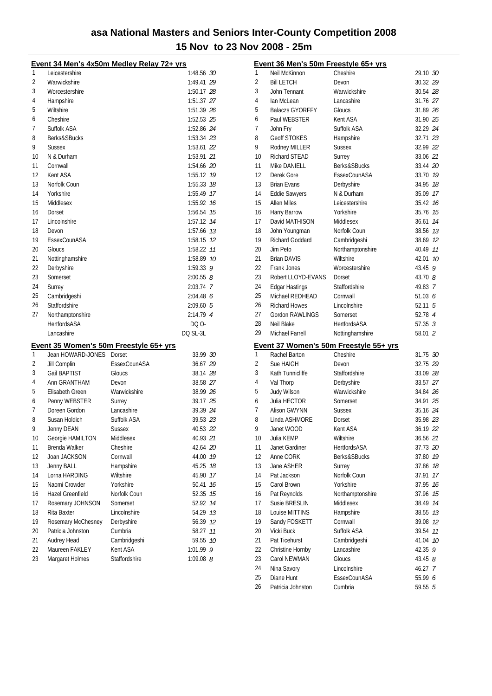|    |                         | <u>Event 34 Men's 4x50m Medley Relay 72+ yrs</u> |               |    |
|----|-------------------------|--------------------------------------------------|---------------|----|
| 1  | Leicestershire          |                                                  | 1:48.56 30    |    |
| 2  | Warwickshire            |                                                  | 1:49.41 29    |    |
| 3  | Worcestershire          |                                                  | 1:50.17 28    |    |
| 4  | Hampshire               |                                                  | 1:51.37 27    |    |
| 5  | Wiltshire               |                                                  | 1:51.39 26    |    |
| 6  | Cheshire                |                                                  | 1:52.53 25    |    |
| 7  | Suffolk ASA             |                                                  | 1:52.86 24    |    |
| 8  | Berks&SBucks            |                                                  | 1:53.34 23    |    |
| 9  | <b>Sussex</b>           |                                                  | 1:53.61 22    |    |
| 10 | N & Durham              |                                                  | 1:53.91 21    |    |
| 11 | Cornwall                |                                                  | 1:54.66 20    |    |
| 12 | Kent ASA                |                                                  | 1:55.12 79    |    |
| 13 | Norfolk Coun            |                                                  | 1:55.33       | 18 |
| 14 | Yorkshire               |                                                  | 1:55.49 17    |    |
| 15 | Middlesex               |                                                  | 1:55.92 16    |    |
| 16 | Dorset                  |                                                  | 1:56.54 75    |    |
| 17 | Lincolnshire            |                                                  | 1:57.12 74    |    |
| 18 | Devon                   |                                                  | 1:57.66 73    |    |
| 19 | EssexCounASA            |                                                  | 1:58.15       | 12 |
| 20 | Gloucs                  |                                                  | 1:58.22       | 11 |
| 21 | Nottinghamshire         |                                                  | 1:58.89       | 10 |
| 22 | Derbyshire              |                                                  | 1:59.33 9     |    |
| 23 | Somerset                |                                                  | $2:00.55$ $8$ |    |
| 24 | Surrey                  |                                                  | 2:03.74 7     |    |
| 25 | Cambridgeshi            |                                                  | 2:04.486      |    |
| 26 | Staffordshire           |                                                  | 2:09.605      |    |
| 27 | Northamptonshire        |                                                  | 2:14.79 4     |    |
|    | <b>HertfordsASA</b>     |                                                  | DQ 0-         |    |
|    | Lancashire              |                                                  | DQ SL-3L      |    |
|    |                         |                                                  |               |    |
|    |                         | Event 35 Women's 50m Freestyle 65+ yrs           |               |    |
| 1  | Jean HOWARD-JONES       | Dorset                                           | 33.99 30      |    |
| 2  | Jill Complin            | EssexCounASA                                     | 36.67 29      |    |
| 3  | Gail BAPTIST            | Gloucs                                           | 38.14 28      |    |
| 4  | Ann GRANTHAM            | Devon                                            | 38.58 27      |    |
| 5  | Elisabeth Green         | Warwickshire                                     | 38.99 26      |    |
| 6  | Penny WEBSTER           | Surrey                                           | 39.17 25      |    |
| 7  | Doreen Gordon           | Lancashire                                       | 39.39 24      |    |
| 8  | Susan Holdich           | Suffolk ASA                                      | 39.53 23      |    |
| q  | Jenny DEAN              | Sussex                                           | 40.53 22      |    |
| 10 | Georgie HAMILTON        | Middlesex                                        | 40.93 21      |    |
| 11 | Brenda Walker           | Cheshire                                         | 42.64 20      |    |
| 12 | Joan JACKSON            | Cornwall                                         | 44.00         | 19 |
| 13 | Jenny BALL              | Hampshire                                        | 45.25         | 18 |
| 14 | Lorna HARDING           | Wiltshire                                        | 45.90         | 17 |
| 15 | Naomi Crowder           | Yorkshire                                        | 50.41         | 16 |
| 16 | <b>Hazel Greenfield</b> | Norfolk Coun                                     | 52.35         | 15 |
| 17 | Rosemary JOHNSON        | Somerset                                         | 52.92         | 14 |
| 18 | Rita Baxter             | Lincolnshire                                     | 54.29         | 13 |
| 19 | Rosemary McChesney      | Derbyshire                                       | 56.39         | 12 |
| 20 | Patricia Johnston       | Cumbria                                          | 58.27         | 11 |
| 21 | Audrey Head             | Cambridgeshi                                     | 59.55         | 10 |
| 22 | Maureen FAKLEY          | Kent ASA                                         | 1:01.99       | 9  |
| 23 | Margaret Holmes         | Staffordshire                                    | 1:09.08 8     |    |

|    | Event 36 Men's 50m Freestyle 65+ yrs |                                        |                    |    |
|----|--------------------------------------|----------------------------------------|--------------------|----|
| 1  | Neil McKinnon                        | Cheshire                               | 29.10 30           |    |
| 2  | <b>Bill LETCH</b>                    | Devon                                  | 30.32 29           |    |
| 3  | John Tennant                         | Warwickshire                           | 30.54 28           |    |
| 4  | lan McLean                           | Lancashire                             | 31.76 27           |    |
| 5  | <b>Balaczs GYORFFY</b>               | Gloucs                                 | 31.89 26           |    |
| 6  | Paul WEBSTER                         | Kent ASA                               | 31.90 25           |    |
| 7  | John Fry                             | Suffolk ASA                            | 32.29 24           |    |
| 8  | <b>Geoff STOKES</b>                  | Hampshire                              | 32.71 23           |    |
| 9  | Rodney MILLER                        | <b>Sussex</b>                          | 32.99 22           |    |
| 10 | <b>Richard STEAD</b>                 | Surrey                                 | 33.06 21           |    |
| 11 | Mike DANIELL                         | <b>Berks&amp;SBucks</b>                | 33.44 20           |    |
| 12 | Derek Gore                           | EssexCounASA                           | 33.70 19           |    |
| 13 | <b>Brian Evans</b>                   | Derbyshire                             | 34.95              | 18 |
| 14 | <b>Eddie Sawyers</b>                 | N & Durham                             | 35.09 17           |    |
| 15 | <b>Allen Miles</b>                   | Leicestershire                         | 35.42 16           |    |
| 16 | Harry Barrow                         | Yorkshire                              | 35.76 15           |    |
| 17 | David MATHISON                       | Middlesex                              | 36.61 74           |    |
| 18 | John Youngman                        | Norfolk Coun                           | 38.56 13           |    |
| 19 | Richard Goddard                      | Cambridgeshi                           | 38.69 12           |    |
| 20 | Jim Peto                             | Northamptonshire                       | 40.49 11           |    |
| 21 | <b>Brian DAVIS</b>                   | Wiltshire                              | 42.01 10           |    |
| 22 | Frank Jones                          | Worcestershire                         | 43.45 9            |    |
| 23 | Robert LLOYD-EVANS                   | Dorset                                 | 43.70 <i>8</i>     |    |
| 24 | <b>Edgar Hastings</b>                | Staffordshire                          | 49.83 7            |    |
| 25 | Michael REDHEAD                      | Cornwall                               | 51.03 6            |    |
| 26 | <b>Richard Howes</b>                 | Lincolnshire                           | 52.11 <sup>5</sup> |    |
| 27 | <b>Gordon RAWLINGS</b>               | Somerset                               | 52.78 4            |    |
| 28 | Neil Blake                           | <b>HertfordsASA</b>                    | $57.35 \t3$        |    |
| 29 | Michael Farrell                      | Nottinghamshire                        | 58.01 2            |    |
|    |                                      | Event 37 Women's 50m Freestyle 55+ yrs |                    |    |
| 1  | Rachel Barton                        | Cheshire                               | 31.75 30           |    |
| 2  | Sue HAIGH                            | Devon                                  | 32.75 29           |    |
| 3  | Kath Tunnicliffe                     | Staffordshire                          | 33.09 28           |    |
| 4  | Val Thorp                            | Derbyshire                             | 33.57 27           |    |
| 5  | Judy Wilson                          | Warwickshire                           | 34.84 26           |    |
| 6  | Julia HECTOR                         | Somerset                               | 34.91 25           |    |
| 7  | Alison GWYNN                         | <b>Sussex</b>                          | 35.16 24           |    |
| 8  | Linda ASHMORE                        | Dorset                                 | 35.98 23           |    |
| 9  | Janet WOOD                           | Kent ASA                               | 36.19 22           |    |
| 10 | Julia KEMP                           | Wiltshire                              | 36.56 <i>21</i>    |    |
| 11 | Janet Gardiner                       | <b>HertfordsASA</b>                    | 37.73 20           |    |
| 12 | Anne CORK                            | Berks&SBucks                           | 37.80              | 19 |
| 13 | Jane ASHER                           | Surrey                                 | 37.86              | 18 |
| 14 | Pat Jackson                          | Norfolk Coun                           | 37.91              | 17 |
| 15 | Carol Brown                          | Yorkshire                              | 37.95              | 16 |
| 16 | Pat Reynolds                         | Northamptonshire                       | 37.96              | 15 |
| 17 | Susie BRESLIN                        | Middlesex                              | 38.49              | 14 |
| 18 | Louise MITTINS                       | Hampshire                              | 38.55              | 13 |
| 19 | Sandy FOSKETT                        | Cornwall                               | 39.08              | 12 |
| 20 | Vicki Buck                           | Suffolk ASA                            | 39.54              | 11 |
| 21 | Pat Ticehurst                        | Cambridgeshi                           | 41.04              | 10 |
| 22 | Christine Hornby                     | Lancashire                             | 42.35              | 9  |
| 23 | Carol NEWMAN                         | Gloucs                                 | 43.45 $8$          |    |
| 24 | Nina Savory                          | Lincolnshire                           | 46.27              | 7  |
| 25 | Diane Hunt                           | EssexCounASA                           | 55.99 6            |    |
| 26 | Patricia Johnston                    | Cumbria                                | 59.55 5            |    |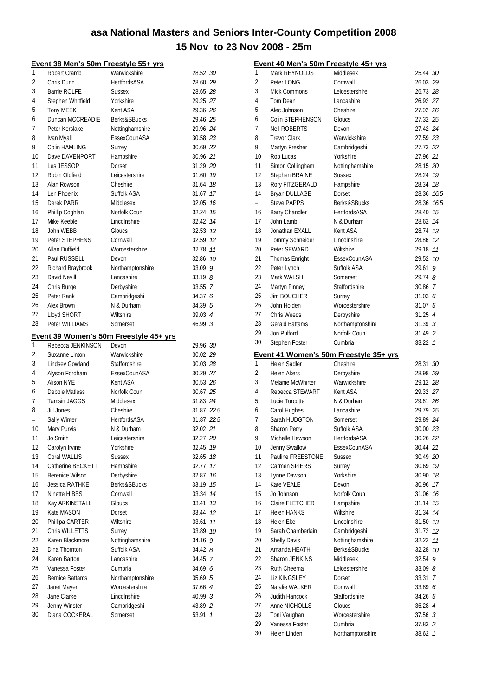|     | Event 38 Men's 50m Freestyle 55+ yrs |                                        |                      |
|-----|--------------------------------------|----------------------------------------|----------------------|
| 1   | Robert Cramb                         | Warwickshire                           | 28.52 30             |
| 2   | Chris Dunn                           | <b>HertfordsASA</b>                    | 28.60 29             |
| 3   | Barrie ROLFE                         | <b>Sussex</b>                          | 28.65 28             |
| 4   | Stephen Whitfield                    | Yorkshire                              | 29.25 27             |
| 5   | Tony MEEK                            | Kent ASA                               | 29.36 26             |
| 6   | Duncan MCCREADIE                     | Berks&SBucks                           | 29.46 25             |
| 7   | Peter Kerslake                       | Nottinghamshire                        | 29.96 24             |
| 8   | Ivan Myall                           | EssexCounASA                           | 30.58 23             |
| 9   | Colin HAMLING                        | Surrey                                 | 30.69 22             |
| 10  | Dave DAVENPORT                       | Hampshire                              | 30.96 21             |
| 11  | Les JESSOP                           | Dorset                                 | 31.29 20             |
| 12  | Robin Oldfield                       | Leicestershire                         | 31.60 19             |
| 13  | Alan Rowson                          | Cheshire                               | 31.64 18             |
| 14  | Len Phoenix                          | Suffolk ASA                            | 31.67 17             |
| 15  | Derek PARR                           | Middlesex                              | 32.05 16             |
| 16  | Phillip Coghlan                      | Norfolk Coun                           | 32.24 15             |
| 17  | Mike Keeble                          | Lincolnshire                           | 32.42 74             |
| 18  | John WEBB                            | Gloucs                                 | 32.53 13             |
| 19  | Peter STEPHENS                       | Cornwall                               |                      |
| 20  | Allan Duffield                       | Worcestershire                         | 32.59 12<br>32.78 11 |
|     |                                      |                                        |                      |
| 21  | Paul RUSSELL                         | Devon                                  | 32.86 10             |
| 22  | Richard Braybrook                    | Northamptonshire                       | 33.09 9              |
| 23  | David Nevill                         | Lancashire                             | 33.198               |
| 24  | Chris Burge                          | Derbyshire                             | 33.55 7              |
| 25  | Peter Rank                           | Cambridgeshi                           | 34.376               |
| 26  | Alex Brown                           | N & Durham                             | 34.39 5              |
| 27  | Lloyd SHORT                          | Wiltshire                              | 39.03 4              |
| 28  | Peter WILLIAMS                       | Somerset                               | 46.993               |
|     |                                      | Event 39 Women's 50m Freestyle 45+ yrs |                      |
| 1   | Rebecca JENKINSON                    | Devon                                  | 29.96 30             |
| 2   | Suxanne Linton                       | Warwickshire                           | 30.02 29             |
| 3   | Lindsey Gowland                      | Staffordshire                          | 30.03 28             |
| 4   | Alyson Fordham                       | EssexCounASA                           | 30.29 27             |
| 5   | <b>Alison NYE</b>                    | Kent ASA                               | 30.53 26             |
| 6   | Debbie Matless                       | Norfolk Coun                           | 30.67 25             |
| 7   | Tamsin JAGGS                         | Middlesex                              | 31.83 24             |
| 8   | Jill Jones                           | Cheshire                               | 31.87 22.5           |
| $=$ | Sally Winter                         | <b>HertfordsASA</b>                    | 31.87 22.5           |
| 10  | Mary Purvis                          | N & Durham                             | 32.02 21             |
| 11  | Jo Smith                             | Leicestershire                         | 32.27 20             |
| 12  | Carolyn Irvine                       | Yorkshire                              | 32.45<br>19          |
| 13  | Coral WALLIS                         | Sussex                                 | 32.65 18             |
| 14  | Catherine BECKETT                    | Hampshire                              | 32.77<br>17          |
| 15  | <b>Berenice Wilson</b>               | Derbyshire                             | 16<br>32.87          |
| 16  | Jessica RATHKE                       | Berks&SBucks                           | 15<br>33.19          |
| 17  | Ninette HIBBS                        | Cornwall                               | 14<br>33.34          |
| 18  | Kay ARKINSTALL                       | Gloucs                                 | 13<br>33.41          |
| 19  | Kate MASON                           | Dorset                                 | 12<br>33.44          |
| 20  |                                      |                                        |                      |
| 21  | Phillipa CARTER<br>Chris WILLETTS    | Wiltshire                              | 33.61<br>11          |
|     |                                      | Surrey                                 | 33.89 10             |
| 22  | Karen Blackmore                      | Nottinghamshire                        | 34.16 9              |
| 23  | Dina Thornton                        | Suffolk ASA                            | 34.42 <i>8</i>       |
| 24  | Karen Barton                         | Lancashire                             | 34.45 7              |
| 25  | Vanessa Foster                       | Cumbria                                | 34.69 6              |
| 26  | <b>Bernice Battams</b>               | Northamptonshire                       | 35.69 5              |
| 27  | Janet Mayer                          | Worcestershire                         | 37.66 4              |
| 28  | Jane Clarke                          | Lincolnshire                           | 40.99 3              |
| 29  | Jenny Winster                        | Cambridgeshi                           | 43.89 2              |
| 30  | Diana COCKERAL                       | Somerset                               | 53.91 1              |
|     |                                      |                                        |                      |

|        | <u>Event 40 Men's 50m Freestyle 45+ yrs</u> |                                        |                      |   |
|--------|---------------------------------------------|----------------------------------------|----------------------|---|
| 1      | Mark REYNOLDS                               | Middlesex                              | 25.44 30             |   |
| 2      | Peter LONG                                  | Cornwall                               | 26.03 29             |   |
| 3      | <b>Mick Commons</b>                         | Leicestershire                         | 26.73 28             |   |
| 4      | Tom Dean                                    | Lancashire                             | 26.92 27             |   |
| 5      | Alec Johnson                                | Cheshire                               | 27.02 26             |   |
| 6      | Colin STEPHENSON                            | Gloucs                                 | 27.32 25             |   |
| 7      | <b>Neil ROBERTS</b>                         | Devon                                  | 27.42 24             |   |
| 8      | <b>Trevor Clark</b>                         | Warwickshire                           | 27.59 23             |   |
| 9      | Martyn Fresher                              | Cambridgeshi                           | 27.73 22             |   |
| 10     | Rob Lucas                                   | Yorkshire                              | 27.96 21             |   |
| 11     | Simon Collingham                            | Nottinghamshire                        | 28.15 20             |   |
| 12     | Stephen BRAINE                              | <b>Sussex</b>                          | 28.24 19             |   |
| 13     | Rory FITZGERALD                             | Hampshire                              | 28.34 18             |   |
| 14     | Bryan DULLAGE                               | Dorset                                 | 28.36 16.5           |   |
| $=$    | <b>Steve PAPPS</b>                          | Berks&SBucks                           | 28.36 16.5           |   |
| 16     | <b>Barry Chandler</b>                       | HertfordsASA                           | 28.40 75             |   |
| 17     | John Lamb                                   | N & Durham                             | 28.62 14             |   |
| 18     | Jonathan EXALL                              | Kent ASA                               | 28.74 13             |   |
| 19     | Tommy Schneider                             | Lincolnshire                           | 28.86 12             |   |
| 20     | Peter SEWARD                                | Wiltshire                              | 29.18 11             |   |
| 21     | <b>Thomas Enright</b>                       | EssexCounASA                           | 29.52 10             |   |
| 22     | Peter Lynch                                 | Suffolk ASA                            | 29.61                | 9 |
| 23     | Mark WALSH                                  | Somerset                               | 29.748               |   |
| 24     | Martyn Finney                               | Staffordshire                          | 30.86 7              |   |
| 25     | <b>Jim BOUCHER</b>                          | Surrey                                 | 31.036               |   |
| 26     | John Holden                                 | Worcestershire                         | 31.075               |   |
| 27     | Chris Weeds                                 | Derbyshire                             | 31.25 4              |   |
| 28     | <b>Gerald Battams</b>                       | Northamptonshire                       | 31.39 <sup>3</sup>   |   |
| 29     | Jon Pulford                                 | Norfolk Coun                           | 31.49 2              |   |
| 30     | Stephen Foster                              | Cumbria                                | 33.22 1              |   |
|        |                                             | Event 41 Women's 50m Freestyle 35+ yrs |                      |   |
| 1      | Helen Sadler                                | Cheshire                               | 28.31 30             |   |
| 2      | <b>Helen Akers</b>                          | Derbyshire                             | 28.98 29             |   |
| 3      | Melanie McWhirter                           | Warwickshire                           | 29.12 28             |   |
| 4      | Rebecca STEWART                             | Kent ASA<br>N & Durham                 | 29.32 27             |   |
| 5      | Lucie Turcotte                              |                                        | 29.61 26             |   |
| 6<br>7 | Carol Hughes<br>Sarah HUDGTON               | Lancashire<br>Somerset                 | 29.79 25<br>29.89 24 |   |
| 8      |                                             |                                        |                      |   |
| 9      | <b>Sharon Perry</b><br>Michelle Hewson      | Suffolk ASA<br><b>HertfordsASA</b>     | 30.00 23<br>30.26 22 |   |
| 10     | Jenny Swallow                               | EssexCounASA                           | 30.44 21             |   |
| 11     | Pauline FREESTONE                           | <b>Sussex</b>                          | 30.49 20             |   |
| 12     | Carmen SPIERS                               |                                        | 30.69 19             |   |
| 13     | Lynne Dawson                                | Surrey<br>Yorkshire                    | 30.90 18             |   |
| 14     | Kate VEALE                                  | Devon                                  | 30.96 17             |   |
| 15     | Jo Johnson                                  | Norfolk Coun                           | 31.06 76             |   |
| 16     | Claire FLETCHER                             | Hampshire                              | 31.14 75             |   |
| 17     | <b>Helen HANKS</b>                          | Wiltshire                              | 31.34 14             |   |
| 18     | Helen Eke                                   | Lincolnshire                           | 31.50 73             |   |
| 19     | Sarah Chamberlain                           | Cambridgeshi                           | 31.72 12             |   |
| 20     | Shelly Davis                                | Nottinghamshire                        | 32.22 11             |   |
| 21     | Amanda HEATH                                | Berks&SBucks                           | 32.28 10             |   |
| 22     | <b>Sharon JENKINS</b>                       | Middlesex                              | 32.54 9              |   |
| 23     | Ruth Cheema                                 | Leicestershire                         | 33.098               |   |
| 24     | <b>Liz KINGSLEY</b>                         | Dorset                                 | 33.31 7              |   |
| 25     | Natalie WALKER                              | Cornwall                               | 33.89 6              |   |
| 26     | Judith Hancock                              | Staffordshire                          | 34.26 5              |   |
| 27     | Anne NICHOLLS                               | <b>Gloucs</b>                          | 36.28 4              |   |
| 28     |                                             |                                        |                      |   |
|        |                                             |                                        |                      |   |
| 29     | Toni Vaughan<br>Vanessa Foster              | Worcestershire<br>Cumbria              | $37.56$ 3<br>37.83 2 |   |
| 30     | Helen Linden                                | Northamptonshire                       | 38.62 1              |   |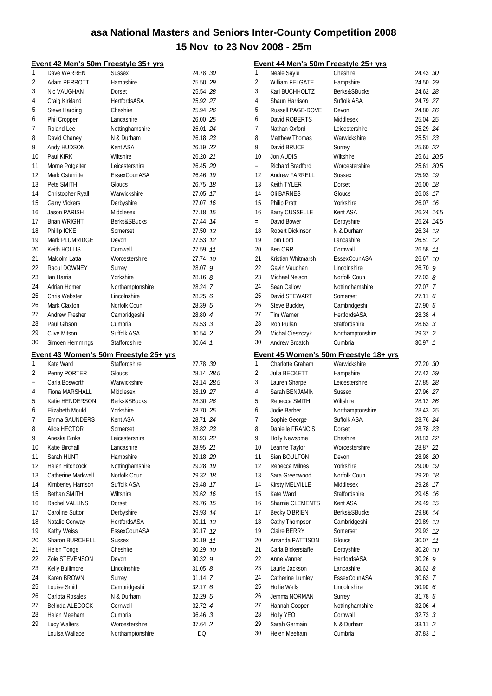|     | Event 42 Men's 50m Freestyle 35+ yrs |                                        |                    |
|-----|--------------------------------------|----------------------------------------|--------------------|
| 1   | Dave WARREN                          | <b>Sussex</b>                          | 24.78 30           |
| 2   | Adam PERROTT                         | Hampshire                              | 25.50 29           |
| 3   | Nic VAUGHAN                          | Dorset                                 | 25.54 28           |
| 4   | Craig Kirkland                       | HertfordsASA                           | 25.92 27           |
| 5   | Steve Harding                        | Cheshire                               | 25.94 26           |
| 6   | Phil Cropper                         | Lancashire                             | 26.00 25           |
| 7   | Roland Lee                           |                                        |                    |
|     |                                      | Nottinghamshire                        | 26.01 24           |
| 8   | David Chaney                         | N & Durham                             | 26.18 23           |
| 9   | Andy HUDSON                          | Kent ASA                               | 26.19 22           |
| 10  | Paul KIRK                            | Wiltshire                              | 26.20 21           |
| 11  | Morne Potgeiter                      | Leicestershire                         | 26.45 20           |
| 12  | Mark Osterritter                     | EssexCounASA                           | 26.46 19           |
| 13  | Pete SMITH                           | Gloucs                                 | 26.75 18           |
| 14  | Christopher Ryall                    | Warwickshire                           | 27.05 17           |
| 15  | <b>Garry Vickers</b>                 | Derbyshire                             | 27.07 16           |
| 16  | Jason PARISH                         | Middlesex                              | 27.18 15           |
| 17  | <b>Brian WRIGHT</b>                  | Berks&SBucks                           | 27.44 14           |
| 18  | Phillip ICKE                         | Somerset                               | 27.50 13           |
| 19  | Mark PLUMRIDGE                       | Devon                                  | 27.53 12           |
| 20  | Keith HOLLIS                         | Cornwall                               | 27.59 11           |
|     |                                      |                                        |                    |
| 21  | Malcolm Latta                        | Worcestershire                         | 27.74 10           |
| 22  | Raoul DOWNEY                         | Surrey                                 | 28.079             |
| 23  | Ian Harris                           | Yorkshire                              | 28.168             |
| 24  | Adrian Homer                         | Northamptonshire                       | 28.24 7            |
| 25  | Chris Webster                        | Lincolnshire                           | 28.256             |
| 26  | Mark Claxton                         | Norfolk Coun                           | 28.39 5            |
| 27  | Andrew Fresher                       | Cambridgeshi                           | 28.80 4            |
| 28  | Paul Gibson                          | Cumbria                                | $29.53 \t3$        |
| 29  | Clive Mitson                         | Suffolk ASA                            | 30.54 2            |
| 30  | Simoen Hemmings                      | Staffordshire                          | 30.64 7            |
|     |                                      |                                        |                    |
|     |                                      |                                        |                    |
|     |                                      | Event 43 Women's 50m Freestyle 25+ yrs |                    |
| 1   | Kate Ward                            | Staffordshire                          | 27.78 30           |
| 2   | Penny PORTER                         | Gloucs                                 | 28.14 28.5         |
| $=$ | Carla Bosworth                       | Warwickshire                           | 28.14 28.5         |
| 4   | Fiona MARSHALL                       | Middlesex                              | 28.19 27           |
| 5   | Katie HENDERSON                      | Berks&SBucks                           | 28.30 26           |
| 6   | Elizabeth Mould                      | Yorkshire                              | 28.70 25           |
| 7   | Emma SAUNDERS                        | Kent ASA                               | 28.71 24           |
| 8   |                                      |                                        |                    |
|     | Alice HECTOR                         | Somerset                               | 28.82 23           |
| 9   | Aneska Binks                         | Leicestershire                         | 28.93 22           |
| 10  | Katie Birchall                       | Lancashire                             | 28.95 21           |
| 11  | Sarah HUNT                           | Hampshire                              | 29.18 20           |
| 12  | Helen Hitchcock                      | Nottinghamshire                        | 29.28 19           |
| 13  | Catherine Markwell                   | Norfolk Coun                           | 29.32 18           |
| 14  | Kimberley Harrison                   | Suffolk ASA                            | 29.48 17           |
| 15  | <b>Bethan SMITH</b>                  | Wiltshire                              | 29.62 16           |
| 16  | Rachel VALLINS                       | Dorset                                 | 29.76 15           |
| 17  | Caroline Sutton                      | Derbyshire                             | 29.93 74           |
| 18  | Natalie Conway                       | <b>HertfordsASA</b>                    | 30.11 13           |
| 19  | Kathy Weiss                          | EssexCounASA                           | 30.17 12           |
| 20  | Sharon BURCHELL                      | <b>Sussex</b>                          |                    |
|     |                                      |                                        | 30.19 11           |
| 21  | Helen Tonge                          | Cheshire                               | 30.29 10           |
| 22  | Zoie STEVENSON                       | Devon                                  | $30.32$ 9          |
| 23  | Kelly Bullimore                      | Lincolnshire                           | 31.058             |
| 24  | Karen BROWN                          | Surrey                                 | 31.14 7            |
| 25  | Louise Smith                         | Cambridgeshi                           | 32.17 6            |
| 26  | Carlota Rosales                      | N & Durham                             | 32.29 5            |
| 27  | Belinda ALECOCK                      | Cornwall                               | 32.72 4            |
| 28  | Helen Meeham                         | Cumbria                                | 36.46 <sup>3</sup> |
| 29  | Lucy Walters<br>Louisa Wallace       | Worcestershire                         | 37.64 2            |

|     | Event 44 Men's 50m Freestyle 25+ yrs |                                        |             |    |
|-----|--------------------------------------|----------------------------------------|-------------|----|
| 1   | Neale Sayle                          | Cheshire                               | 24.43 30    |    |
| 2   | <b>William FELGATE</b>               | Hampshire                              | 24.50 29    |    |
| 3   | Karl BUCHHOLTZ                       | Berks&SBucks                           | 24.62 28    |    |
| 4   | Shaun Harrison                       | Suffolk ASA                            | 24.79 27    |    |
| 5   | Russell PAGE-DOVE                    | Devon                                  | 24.80 26    |    |
| 6   | David ROBERTS                        | Middlesex                              | 25.04 25    |    |
| 7   | Nathan Oxford                        | Leicestershire                         | 25.29 24    |    |
| 8   | <b>Matthew Thomas</b>                | Warwickshire                           | 25.51 23    |    |
| 9   | David BRUCE                          | Surrey                                 | 25.60 22    |    |
| 10  | Jon AUDIS                            | Wiltshire                              | 25.61 20.5  |    |
| $=$ | Richard Bradford                     | Worcestershire                         | 25.61 20.5  |    |
| 12  | <b>Andrew FARRELL</b>                | <b>Sussex</b>                          | 25.93 19    |    |
| 13  | Keith TYLER                          | Dorset                                 | 26.00 18    |    |
| 14  | Oli BARNES                           | Gloucs                                 | 26.03 17    |    |
| 15  | <b>Philip Pratt</b>                  | Yorkshire                              | 26.07 16    |    |
| 16  | <b>Barry CUSSELLE</b>                | Kent ASA                               | 26.24 14.5  |    |
| $=$ | David Bower                          | Derbyshire                             | 26.24 14.5  |    |
| 18  | Robert Dickinson                     | N & Durham                             | 26.34 73    |    |
| 19  | <b>Tom Lord</b>                      | Lancashire                             | 26.51       | 12 |
| 20  | Ben ORR                              | Cornwall                               | 26.58 11    |    |
|     | Kristian Whitmarsh                   |                                        |             |    |
| 21  |                                      | EssexCounASA                           | 26.67 10    |    |
| 22  | Gavin Vaughan                        | Lincolnshire                           | 26.70 9     |    |
| 23  | Michael Nelson                       | Norfolk Coun                           | $27.03$ $8$ |    |
| 24  | Sean Callow                          | Nottinghamshire                        | 27.07 7     |    |
| 25  | David STEWART                        | Somerset                               | 27.116      |    |
| 26  | <b>Steve Buckley</b>                 | Cambridgeshi                           | 27.90 5     |    |
| 27  | Tim Warner                           | <b>HertfordsASA</b>                    | 28.38 4     |    |
| 28  | Rob Pullan                           | Staffordshire                          | $28.63 \t3$ |    |
| 29  | Michal Cieszczyk                     | Northamptonshire                       | 29.37 2     |    |
| 30  | Andrew Broatch                       | Cumbria                                | 30.97 1     |    |
|     |                                      | Event 45 Women's 50m Freestyle 18+ yrs |             |    |
| 1   | Charlotte Graham                     | Warwickshire                           | 27.20 30    |    |
| 2   | Julia BECKETT                        | Hampshire                              | 27.42 29    |    |
| 3   | Lauren Sharpe                        | Leicestershire                         | 27.85 28    |    |
| 4   | Sarah BENJAMIN                       | <b>Sussex</b>                          | 27.96 27    |    |
| 5   | Rebecca SMITH                        | Wiltshire                              | 28.12 26    |    |
| 6   | Jodie Barber                         | Northamptonshire                       | 28.43 25    |    |
| 7   | Sophie George                        | Suffolk ASA                            | 28.76 24    |    |
| 8   | Danielle FRANCIS                     | Dorset                                 | 28.78 23    |    |
| 9   | Holly Newsome                        | Cheshire                               | 28.83 22    |    |
| 10  | Leanne Taylor                        | Worcestershire                         | 28.87 21    |    |
| 11  | Sian BOULTON                         | Devon                                  | 28.98 20    |    |
| 12  | Rebecca Milnes                       | Yorkshire                              | 29.00 19    |    |
| 13  | Sara Greenwood                       | Norfolk Coun                           | 29.20 18    |    |
| 14  | Kirsty MELVILLE                      | Middlesex                              | 29.28 17    |    |
| 15  | Kate Ward                            | Staffordshire                          | 29.45 16    |    |
| 16  | Sharnie CLEMENTS                     | Kent ASA                               | 29.49 15    |    |
| 17  |                                      |                                        |             |    |
|     | Becky O'BRIEN                        | Berks&SBucks                           | 29.86       | 14 |
| 18  | Cathy Thompson                       | Cambridgeshi                           | 29.89 13    |    |
| 19  | Claire BERRY                         | Somerset                               | 29.92 12    |    |
| 20  | Amanda PATTISON                      | Gloucs                                 | 30.07 11    |    |
| 21  | Carla Bickerstaffe                   | Derbyshire                             | 30.20 10    |    |
| 22  | Anne Vanner                          | <b>HertfordsASA</b>                    | 30.26 9     |    |
| 23  | Laurie Jackson                       | Lancashire                             | $30.62$ $8$ |    |
| 24  | Catherine Lumley                     | EssexCounASA                           | 30.63 7     |    |
| 25  | Hollie Wells                         | Lincolnshire                           | 30.90 6     |    |
| 26  | Jemma NORMAN                         | Surrey                                 | 31.78 5     |    |
| 27  | Hannah Cooper                        | Nottinghamshire                        | 32.06 4     |    |
| 28  | Holly YEO                            | Cornwall                               | 32.73.3     |    |
| 29  | Sarah Germain                        | N & Durham                             | 33.11 2     |    |
| 30  | Helen Meeham                         | Cumbria                                | 37.83 7     |    |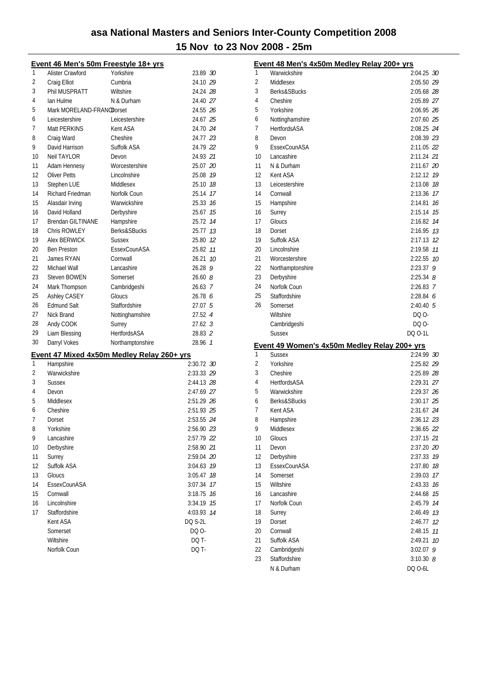|    | <u>Event 46 Men's 50m Freestyle 18+ yrs</u> |                                            |                |
|----|---------------------------------------------|--------------------------------------------|----------------|
| 1  | Alister Crawford                            | Yorkshire                                  | 23.89 30       |
| 2  | Craig Elliot                                | Cumbria                                    | 24.10 29       |
| 3  | Phil MUSPRATT                               | Wiltshire                                  | 24.24 28       |
| 4  | Ian Hulme                                   | N & Durham                                 | 24.40 27       |
| 5  | Mark MORELAND-FRANODorset                   |                                            | 24.55 26       |
| 6  | Leicestershire                              | Leicestershire                             | 24.67 25       |
| 7  | Matt PERKINS                                | Kent ASA                                   | 24.70 24       |
| 8  | Craig Ward                                  | Cheshire                                   | 24.77 23       |
| 9  | David Harrison                              | Suffolk ASA                                | 24.79 22       |
| 10 | <b>Neil TAYLOR</b>                          | Devon                                      | 24.93 21       |
| 11 | Adam Hennesy                                | Worcestershire                             | 25.07 20       |
| 12 | <b>Oliver Petts</b>                         | Lincolnshire                               | 25.08 19       |
| 13 | Stephen LUE                                 | Middlesex                                  | 25.10 18       |
| 14 | Richard Friedman                            | Norfolk Coun                               | 25.14 17       |
| 15 | Alasdair Irving                             | Warwickshire                               | 25.33 76       |
| 16 | David Holland                               | Derbyshire                                 | 25.67<br>15    |
| 17 | <b>Brendan GILTINANE</b>                    | Hampshire                                  | 25.72 14       |
| 18 | Chris ROWLEY                                | Berks&SBucks                               | 25.77 13       |
| 19 | Alex BERWICK                                | <b>Sussex</b>                              | 25.80 12       |
| 20 | <b>Ben Preston</b>                          | EssexCounASA                               | 25.82 11       |
| 21 | James RYAN                                  | Cornwall                                   | 26.21 10       |
| 22 | Michael Wall                                | Lancashire                                 | $26.28$ 9      |
| 23 | Steven BOWEN                                | Somerset                                   | 26.608         |
| 24 | Mark Thompson                               | Cambridgeshi                               | 26.63 7        |
| 25 | Ashley CASEY                                | Gloucs                                     | 26.78 6        |
| 26 | <b>Edmund Salt</b>                          | Staffordshire                              | 27.07 5        |
| 27 | Nick Brand                                  | Nottinghamshire                            | 27.52 4        |
| 28 | Andy COOK                                   | Surrey                                     | $27.62 \t3$    |
| 29 | Liam Blessing                               | HertfordsASA                               | 28.83 2        |
| 30 | Darryl Vokes                                | Northamptonshire                           | 28.96 7        |
|    |                                             |                                            |                |
|    |                                             | Event 47 Mixed 4x50m Medley Relay 260+ yrs |                |
| 1  | Hampshire                                   |                                            | 2:30.72 30     |
| 2  | Warwickshire                                |                                            | 2:33.33 29     |
| 3  | <b>Sussex</b>                               |                                            | 2:44.13 28     |
| 4  | Devon                                       |                                            | 2:47.69 27     |
| 5  | Middlesex                                   |                                            | 2:51.29 26     |
| 6  | Cheshire                                    |                                            | 2:51.93 25     |
| 7  | Dorset                                      |                                            | 2:53.55 24     |
| 8  | Yorkshire                                   |                                            | 2:56.90 23     |
| 9  | Lancashire                                  |                                            | 2:57.79 22     |
| 10 | Derbyshire                                  |                                            | 2:58.90 21     |
| 11 | Surrey                                      |                                            | 2:59.04 20     |
| 12 | Suffolk ASA                                 |                                            | 3:04.63<br>19  |
| 13 | Gloucs                                      |                                            | 3:05.47<br>18  |
| 14 | EssexCounASA                                |                                            | 3:07.34<br>17  |
| 15 | Cornwall                                    |                                            | 3:18.75<br>16  |
| 16 | Lincolnshire                                |                                            | 3:34.19<br>15  |
| 17 | <b>Staffordshire</b>                        |                                            | 4:03.93<br>14  |
|    | Kent ASA                                    |                                            | <b>DQ S-2L</b> |
|    | Somerset                                    |                                            | DQ 0-          |
|    | Wiltshire                                   |                                            | DQ T-          |
|    | Norfolk Coun                                |                                            | DQ T-          |

|                | Event 48 Men's 4x50m Medley Relay 200+ yrs                    |               |    |
|----------------|---------------------------------------------------------------|---------------|----|
| 1              | Warwickshire                                                  | 2:04.25 30    |    |
| $\overline{2}$ | Middlesex                                                     | 2:05.50 29    |    |
| 3              | Berks&SBucks                                                  | 2:05.68 28    |    |
| 4              | Cheshire                                                      | 2:05.89 27    |    |
| 5              | Yorkshire                                                     | 2:06.95 26    |    |
| 6              | Nottinghamshire                                               | 2:07.60 25    |    |
| 7              | <b>HertfordsASA</b>                                           | 2:08.25 24    |    |
| 8              | Devon                                                         | 2:08.39 23    |    |
| 9              | EssexCounASA                                                  | 2:11.05 22    |    |
| 10             | Lancashire                                                    | 2:11.24 21    |    |
| 11             | N & Durham                                                    | 2:11.67 20    |    |
| 12             | Kent ASA                                                      | 2:12.12 19    |    |
| 13             | Leicestershire                                                | 2:13.08 78    |    |
| 14             | Cornwall                                                      | 2:13.36       | 17 |
| 15             | Hampshire                                                     | 2:14.81       | 16 |
| 16             | Surrey                                                        | 2:15.14 75    |    |
| 17             | Gloucs                                                        | 2:16.82 14    |    |
| 18             | Dorset                                                        | 2:16.95 73    |    |
| 19             | Suffolk ASA                                                   | 2:17.13 12    |    |
| 20             | Lincolnshire                                                  | 2:19.58       | 11 |
| 21             | Worcestershire                                                | 2:22.55       | 10 |
| 22             | Northamptonshire                                              | 2:23.37<br>9  |    |
| 23             | Derbyshire                                                    | $2:25.34$ 8   |    |
| 24             | Norfolk Coun                                                  | 2:26.83 7     |    |
| 25             | Staffordshire                                                 | 2:28.846      |    |
| 26             | Somerset                                                      | 2:40.405      |    |
|                | Wiltshire                                                     | DQ 0-         |    |
|                | Cambridgeshi                                                  | DQ 0-         |    |
|                | <b>Sussex</b>                                                 | DQ 0-1L       |    |
|                |                                                               |               |    |
| 1              | Event 49 Women's 4x50m Medley Relay 200+ yrs<br><b>Sussex</b> | 2:24.99 30    |    |
| 2              | Yorkshire                                                     | 2:25.82 29    |    |
| 3              | Cheshire                                                      | 2:25.89 28    |    |
| 4              | <b>HertfordsASA</b>                                           | 2:29.31 27    |    |
| 5              | Warwickshire                                                  | 2:29.37 26    |    |
| 6              | Berks&SBucks                                                  | 2:30.17 25    |    |
| 7              | Kent ASA                                                      | 2:31.67 24    |    |
| 8              | Hampshire                                                     | 2:36.12 23    |    |
| 9              | Middlesex                                                     | 2:36.65 22    |    |
| 10             | Gloucs                                                        | 2:37.15 21    |    |
| 11             | Devon                                                         | 2:37.20 20    |    |
| 12             | Derbyshire                                                    | 2:37.33       | 19 |
| 13             | EssexCounASA                                                  | 2:37.80       | 18 |
| 14             | Somerset                                                      | 2:39.03       | 17 |
| 15             |                                                               |               |    |
| 16             | Wiltshire<br>Lancashire                                       | 2:43.33       | 16 |
| 17             | Norfolk Coun                                                  | 2:44.68       | 15 |
|                |                                                               | 2:45.79       | 14 |
| 18             | Surrey                                                        | 2:46.49       | 13 |
| 19             | Dorset                                                        | 2:46.77       | 12 |
| 20             | Cornwall                                                      | 2:48.15       | 11 |
| 21             | Suffolk ASA                                                   | 2:49.21       | 10 |
| 22             | Cambridgeshi                                                  | 3:02.07<br>9  |    |
| 23             | Staffordshire                                                 | $3:10.30$ $8$ |    |
|                | N & Durham                                                    | DQ 0-6L       |    |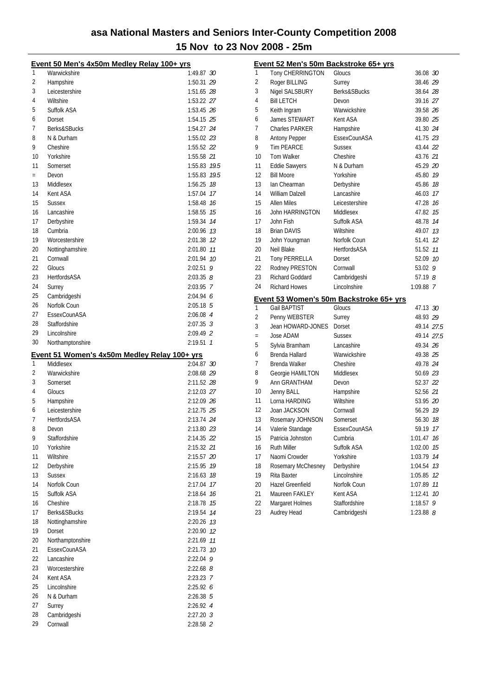|          | Event 50 Men's 4x50m Medley Relay 100+ yrs   |                          |    |
|----------|----------------------------------------------|--------------------------|----|
| 1        | Warwickshire                                 | 1:49.87 30               |    |
| 2        | Hampshire                                    | 1:50.31 29               |    |
| 3        | Leicestershire                               | 1:51.65 28               |    |
| 4        | Wiltshire                                    | 1:53.22 27               |    |
| 5        | Suffolk ASA                                  | 1:53.45 26               |    |
| 6        | Dorset                                       | 1:54.15 25               |    |
| 7        | Berks&SBucks                                 | 1:54.27 24               |    |
| 8        | N & Durham                                   | 1:55.02 23               |    |
| 9        | Cheshire                                     | 1:55.52 22               |    |
| 10       | Yorkshire                                    | 1:55.58 21               |    |
| 11       | Somerset                                     | 1:55.83 79.5             |    |
| $=$      | Devon                                        | 1:55.83 79.5             |    |
| 13       | Middlesex                                    | 1:56.25                  | 18 |
| 14       | Kent ASA                                     | 1:57.04                  | 17 |
| 15       | <b>Sussex</b>                                | 1:58.48 76               |    |
| 16       | Lancashire                                   | 1:58.55                  | 15 |
| 17       | Derbyshire                                   | 1:59.34 74               |    |
| 18       | Cumbria                                      | 2:00.96 13               |    |
| 19       | Worcestershire                               | 2:01.38 12               |    |
| 20       | Nottinghamshire                              | 2:01.80 77               |    |
| 21       | Cornwall                                     | 2:01.94 10               |    |
| 22       | Gloucs                                       | $2:02.51$ 9              |    |
| 23       | <b>HertfordsASA</b>                          | $2:03.35$ $8$            |    |
| 24       | Surrey                                       | 2:03.95 7                |    |
| 25<br>26 | Cambridgeshi<br>Norfolk Coun                 | 2:04.946                 |    |
| 27       | EssexCounASA                                 | $2:05.18$ 5<br>2:06.08 4 |    |
| 28       | Staffordshire                                | $2:07.35$ 3              |    |
| 29       | Lincolnshire                                 | 2:09.49 2                |    |
|          |                                              |                          |    |
| 30       |                                              | $2:19.51$ 1              |    |
|          | Northamptonshire                             |                          |    |
|          | Event 51 Women's 4x50m Medley Relay 100+ yrs |                          |    |
| 1<br>2   | Middlesex<br>Warwickshire                    | 2:04.87 30               |    |
| 3        | Somerset                                     | 2:08.68 29<br>2:11.52 28 |    |
| 4        | Gloucs                                       | 2:12.03 27               |    |
| 5        | Hampshire                                    | 2:12.09 26               |    |
| 6        | Leicestershire                               | 2:12.75 25               |    |
| 7        | <b>HertfordsASA</b>                          | 2:13.74 24               |    |
| 8        | Devon                                        | 2:13.80 23               |    |
| 9        | Staffordshire                                | 2:14.35 22               |    |
| 10       | Yorkshire                                    | 2:15.32 21               |    |
| 11       | Wiltshire                                    | 2:15.57 20               |    |
| 12       | Derbyshire                                   | 2:15.95 79               |    |
| 13       | <b>Sussex</b>                                | 2:16.63 18               |    |
| 14       | Norfolk Coun                                 | 2:17.04                  | 17 |
| 15       | Suffolk ASA                                  | 2:18.64 76               |    |
| 16       | Cheshire                                     | 2:18.78 15               |    |
| 17       | Berks&SBucks                                 | 2:19.54 14               |    |
| 18       | Nottinghamshire                              | 2:20.26 73               |    |
| 19       | Dorset                                       | 2:20.90 12               |    |
| 20       | Northamptonshire                             | 2:21.69                  | 11 |
| 21       | EssexCounASA                                 | 2:21.73                  | 10 |
| 22       | Lancashire<br>Worcestershire                 | 2:22.04 9                |    |
| 23<br>24 | Kent ASA                                     | $2:22.68$ $8$            |    |
| 25       | Lincolnshire                                 | 2:23.23 7<br>2:25.926    |    |
| 26       | N & Durham                                   | $2:26.38$ 5              |    |
| 27       | Surrey                                       | 2:26.92 4                |    |
| 28       | Cambridgeshi                                 | $2:27.20$ 3              |    |

|          |                                | <u>Event 52 Men's 50m Backstroke 65+ yrs</u> |                          |     |
|----------|--------------------------------|----------------------------------------------|--------------------------|-----|
| 1        | Tony CHERRINGTON               | Gloucs                                       | 36.08 30                 |     |
| 2        | Roger BILLING                  | Surrey                                       | 38.46 29                 |     |
| 3        | Nigel SALSBURY                 | Berks&SBucks                                 | 38.64 28                 |     |
| 4        | <b>Bill LETCH</b>              | Devon                                        | 39.16 27                 |     |
| 5        | Keith Ingram                   | Warwickshire                                 | 39.58 26                 |     |
| 6        | James STEWART                  | Kent ASA                                     | 39.80 25                 |     |
| 7        | <b>Charles PARKER</b>          | Hampshire                                    | 41.30 24                 |     |
| 8        | <b>Antony Pepper</b>           | EssexCounASA                                 | 41.75 23                 |     |
| 9        | <b>Tim PEARCE</b>              | <b>Sussex</b>                                | 43.44 22                 |     |
| 10       | Tom Walker                     | Cheshire                                     | 43.76 21                 |     |
| 11       | <b>Eddie Sawyers</b>           | N & Durham                                   | 45.29 20                 |     |
| 12       | <b>Bill Moore</b>              | Yorkshire                                    | 45.80 19                 |     |
| 13       | lan Chearman                   | Derbyshire                                   | 45.86 18                 |     |
| 14       | William Dalzell                | Lancashire                                   | 46.03 17                 |     |
| 15       | <b>Allen Miles</b>             | Leicestershire                               | 47.28 16                 |     |
| 16       | <b>John HARRINGTON</b>         | Middlesex                                    | 47.82 15                 |     |
| 17       | John Fish                      | Suffolk ASA                                  | 48.78 14                 |     |
| 18       | <b>Brian DAVIS</b>             | Wiltshire                                    | 49.07 13                 |     |
| 19       | John Youngman                  | Norfolk Coun                                 | 51.41                    | 12  |
| 20       | Neil Blake                     | <b>HertfordsASA</b>                          | 51.52 11                 |     |
| 21       | Tony PERRELLA                  | Dorset                                       | 52.09 10                 |     |
| 22       | Rodney PRESTON                 | Cornwall                                     | 53.02                    | - 9 |
| 23       | <b>Richard Goddard</b>         | Cambridgeshi                                 | 57.19 8                  |     |
| 24       | <b>Richard Howes</b>           | Lincolnshire                                 | 1:09.88 7                |     |
|          |                                |                                              |                          |     |
|          |                                |                                              |                          |     |
|          |                                | Event 53 Women's 50m Backstroke 65+ yrs      |                          |     |
| 1        | <b>Gail BAPTIST</b>            | Gloucs                                       | 47.13 30                 |     |
| 2        | Penny WEBSTER                  | Surrey                                       | 48.93 29                 |     |
| 3        | Jean HOWARD-JONES              | Dorset                                       | 49.14 27.5               |     |
| $\equiv$ | Jose ADAM                      | <b>Sussex</b>                                | 49.14 27.5               |     |
| 5        | Sylvia Bramham                 | Lancashire                                   | 49.34 26                 |     |
| 6        | Brenda Hallard                 | Warwickshire                                 | 49.38 25                 |     |
| 7        | Brenda Walker                  | Cheshire                                     | 49.78 24                 |     |
| 8        | Georgie HAMILTON               | Middlesex                                    | 50.69 23                 |     |
| 9        | Ann GRANTHAM                   | Devon                                        | 52.37 22                 |     |
| 10       | Jenny BALL                     | Hampshire                                    | 52.56 21                 |     |
| 11       | Lorna HARDING                  | Wiltshire                                    | 53.95 20                 |     |
| 12       | Joan JACKSON                   | Cornwall                                     | 56.29 79                 |     |
| 13       | Rosemary JOHNSON               | Somerset                                     | 56.30 18                 |     |
| 14       | Valerie Standage               | EssexCounASA                                 | 59.19                    | 17  |
| 15       | Patricia Johnston              | Cumbria                                      | 1:01.47                  | 16  |
| 16       | Ruth Miller                    | Suffolk ASA                                  | 1:02.00                  | 15  |
| 17       | Naomi Crowder                  | Yorkshire                                    | 1:03.79                  | 14  |
| 18       | Rosemary McChesney             | Derbyshire                                   | 1:04.54                  | 13  |
| 19       | Rita Baxter                    | Lincolnshire                                 | 1:05.85                  | 12  |
| 20       | Hazel Greenfield               | Norfolk Coun                                 | 1:07.89                  | 11  |
| 21       | Maureen FAKLEY                 | Kent ASA                                     | 1:12.41                  | 10  |
| 22<br>23 | Margaret Holmes<br>Audrey Head | Staffordshire<br>Cambridgeshi                | 1:18.57<br>$1:23.88$ $8$ | 9   |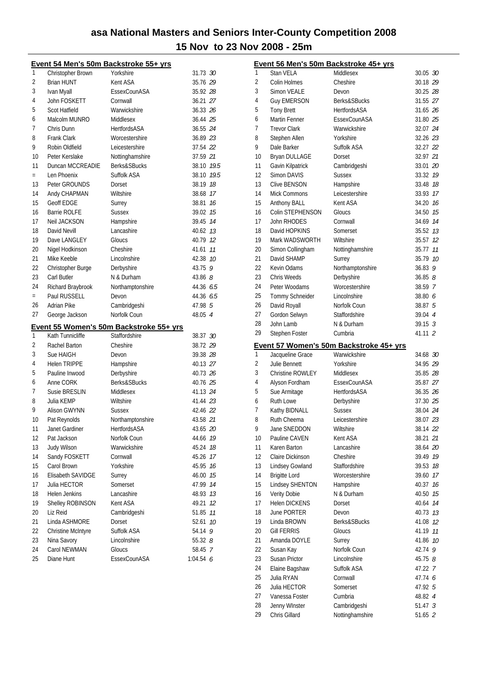|     | <u>Event 54 Men's 50m Backstroke 55+ yrs</u> |                                         |            |    |
|-----|----------------------------------------------|-----------------------------------------|------------|----|
| 1   | Christopher Brown                            | Yorkshire                               | 31.73 30   |    |
| 2   | <b>Brian HUNT</b>                            | Kent ASA                                | 35.76 29   |    |
| 3   | Ivan Myall                                   | EssexCounASA                            | 35.92 28   |    |
| 4   | John FOSKETT                                 | Cornwall                                | 36.21 27   |    |
| 5   | Scot Hatfield                                | Warwickshire                            | 36.33 26   |    |
| 6   | Malcolm MUNRO                                | Middlesex                               | 36.44 25   |    |
| 7   | Chris Dunn                                   | <b>HertfordsASA</b>                     | 36.55 24   |    |
| 8   | <b>Frank Clark</b>                           | Worcestershire                          | 36.89 23   |    |
| 9   | Robin Oldfield                               | Leicestershire                          | 37.54 22   |    |
| 10  | Peter Kerslake                               | Nottinghamshire                         | 37.59 21   |    |
| 11  | Duncan MCCREADIE                             | Berks&SBucks                            | 38.10 19.5 |    |
| $=$ | Len Phoenix                                  | Suffolk ASA                             | 38.10 19.5 |    |
| 13  | Peter GROUNDS                                | Dorset                                  | 38.19 18   |    |
| 14  | Andy CHAPMAN                                 | Wiltshire                               | 38.68 17   |    |
| 15  | <b>Geoff EDGE</b>                            | Surrey                                  | 38.81 16   |    |
| 16  | <b>Barrie ROLFE</b>                          | <b>Sussex</b>                           | 39.02 15   |    |
| 17  | Neil JACKSON                                 | Hampshire                               | 39.45 74   |    |
| 18  | David Nevill                                 | Lancashire                              | 40.62 13   |    |
| 19  | Dave LANGLEY                                 | Gloucs                                  | 40.79 12   |    |
| 20  | Nigel Hodkinson                              | Cheshire                                | 41.61 11   |    |
| 21  | Mike Keeble                                  | Lincolnshire                            | 42.38 10   |    |
| 22  | Christopher Burge                            | Derbyshire                              | 43.75 9    |    |
| 23  | Carl Butler                                  | N & Durham                              | 43.86 $8$  |    |
| 24  | Richard Braybrook                            | Northamptonshire                        | 44.36 6.5  |    |
| $=$ | Paul RUSSELL                                 | Devon                                   | 44.36 6.5  |    |
| 26  | <b>Adrian Pike</b>                           | Cambridgeshi                            | 47.98 5    |    |
| 27  | George Jackson                               | Norfolk Coun                            | 48.05 4    |    |
|     |                                              | Event 55 Women's 50m Backstroke 55+ yrs |            |    |
| 1   | Kath Tunnicliffe                             | Staffordshire                           | 38.37 30   |    |
| 2   | Rachel Barton                                | Cheshire                                | 38.72 29   |    |
| 3   | Sue HAIGH                                    | Devon                                   | 39.38 28   |    |
| 4   | <b>Helen TRIPPE</b>                          | Hampshire                               | 40.13 27   |    |
| 5   | Pauline Inwood                               | Derbyshire                              | 40.73 26   |    |
| 6   | Anne CORK                                    | <b>Berks&amp;SBucks</b>                 | 40.76 25   |    |
| 7   | Susie BRESLIN                                | Middlesex                               | 41.13 24   |    |
| 8   | Julia KEMP                                   | Wiltshire                               | 41.44 23   |    |
| 9   | Alison GWYNN                                 | <b>Sussex</b>                           | 42.46 22   |    |
| 10  | Pat Reynolds                                 | Northamptonshire                        | 43.58 21   |    |
| 11  | Janet Gardiner                               | HertfordsASA                            | 43.65 20   |    |
| 12  | Pat Jackson                                  | Norfolk Coun                            | 44.66 19   |    |
| 13  | Judy Wilson                                  | Warwickshire                            | 45.24      | 18 |
| 14  | Sandy FOSKETT                                | Cornwall                                | 45.26 17   |    |
| 15  | Carol Brown                                  | Yorkshire                               | 45.95 16   |    |
| 16  | Elisabeth SAVIDGE                            | Surrey                                  | 46.00      | 15 |
| 17  | Julia HECTOR                                 | Somerset                                | 47.99      | 14 |
| 18  | Helen Jenkins                                | Lancashire                              | 48.93      | 13 |
| 19  | Shelley ROBINSON                             | Kent ASA                                | 49.21      | 12 |
| 20  | Liz Reid                                     | Cambridgeshi                            | 51.85 11   |    |
| 21  | Linda ASHMORE                                | Dorset                                  | 52.61      | 10 |
| 22  | Christine McIntyre                           | Suffolk ASA                             | 54.14 9    |    |
| 23  | Nina Savory                                  | Lincolnshire                            | 55.32 8    |    |
| 24  | Carol NEWMAN                                 | Gloucs                                  | 58.45 7    |    |
| 25  | Diane Hunt                                   | EssexCounASA                            | 1:04.546   |    |

|          | <u>Event 56 Men's 50m Backstroke 45+ yrs</u> |                                         |                               |    |
|----------|----------------------------------------------|-----------------------------------------|-------------------------------|----|
| 1        | <b>Stan VELA</b>                             | Middlesex                               | 30.05 30                      |    |
| 2        | Colin Holmes                                 | Cheshire                                | 30.18 29                      |    |
| 3        | Simon VEALE                                  | Devon                                   | 30.25 28                      |    |
| 4        | <b>Guy EMERSON</b>                           | Berks&SBucks                            | 31.55 27                      |    |
| 5        | <b>Tony Brett</b>                            | <b>HertfordsASA</b>                     | 31.65 26                      |    |
| 6        | Martin Fenner                                | EssexCounASA                            | 31.80 25                      |    |
| 7        | <b>Trevor Clark</b>                          | Warwickshire                            | 32.07 24                      |    |
| 8        | Stephen Allen                                | Yorkshire                               | 32.26 23                      |    |
| 9        | Dale Barker                                  | Suffolk ASA                             | 32.27 22                      |    |
| 10       | <b>Bryan DULLAGE</b>                         | Dorset                                  | 32.97 21                      |    |
| 11       | Gavin Kilpatrick                             | Cambridgeshi                            | 33.01 20                      |    |
| 12       | Simon DAVIS                                  | <b>Sussex</b>                           | 33.32 19                      |    |
| 13       | <b>Clive BENSON</b>                          | Hampshire                               | 33.48 18                      |    |
| 14       | Mick Commons                                 | Leicestershire                          | 33.93 17                      |    |
| 15       | Anthony BALL                                 | Kent ASA                                | 34.20 16                      |    |
| 16       | Colin STEPHENSON                             | Gloucs                                  | 34.50 15                      |    |
| 17       | John RHODES                                  | Cornwall                                | 34.69 14                      |    |
| 18       | David HOPKINS                                | Somerset                                | 35.52 13                      |    |
| 19       | Mark WADSWORTH                               | Wiltshire                               | 35.57 12                      |    |
| 20       | Simon Collingham                             | Nottinghamshire                         | 35.77 11                      |    |
| 21       | David SHAMP                                  | Surrey                                  | 35.79 10                      |    |
| 22       | Kevin Odams                                  | Northamptonshire                        | 36.83                         | 9  |
| 23       | Chris Weeds                                  | Derbyshire                              | 36.858                        |    |
| 24       | Peter Woodams                                | Worcestershire                          | 38.59 7                       |    |
| 25       | Tommy Schneider                              | Lincolnshire                            | 38.80 6                       |    |
| 26       | David Royall                                 | Norfolk Coun                            | 38.87 5                       |    |
| 27       | Gordon Selwyn                                | Staffordshire                           | 39.04 4                       |    |
| 28       | John Lamb                                    | N & Durham                              | $39.15 \t3$                   |    |
| 29       | Stephen Foster                               | Cumbria                                 | 41.11 2                       |    |
|          |                                              |                                         |                               |    |
|          |                                              | Event 57 Women's 50m Backstroke 45+ yrs |                               |    |
| 1        | Jacqueline Grace                             | Warwickshire                            | 34.68 30                      |    |
| 2        | Julie Bennett                                | Yorkshire                               | 34.95 29                      |    |
| 3        | <b>Christine ROWLEY</b>                      | Middlesex                               | 35.85 28                      |    |
| 4        | Alyson Fordham                               | EssexCounASA                            | 35.87 27                      |    |
| 5        | Sue Armitage                                 | HertfordsASA                            | 36.35 26                      |    |
| 6        | <b>Ruth Lowe</b>                             | Derbyshire                              | 37.30 25                      |    |
| 7        | Kathy BIDNALL                                | <b>Sussex</b>                           | 38.04 24                      |    |
| 8        | Ruth Cheema                                  | Leicestershire                          | 38.07 23                      |    |
| 9        | Jane SNEDDON                                 | Wiltshire                               | 38.14 22                      |    |
| 10       | Pauline CAVEN                                | Kent ASA                                | 38.21 21                      |    |
| 11       | Karen Barton                                 | Lancashire                              | 38.64                         | 20 |
| 12       | Claire Dickinson                             | Cheshire                                | 39.49                         | 19 |
| 13       | Lindsey Gowland                              | Staffordshire                           | 39.53                         | 18 |
| 14       | <b>Brigitte Lord</b>                         | Worcestershire                          | 39.60                         | 17 |
| 15       | Lindsey SHENTON                              | Hampshire                               | 40.37                         | 16 |
| 16       | Verity Dobie                                 | N & Durham                              | 40.50                         | 15 |
| 17       | <b>Helen DICKENS</b>                         | Dorset                                  | 40.64                         | 14 |
| 18       | June PORTER                                  | Devon                                   | 40.73                         | 13 |
| 19       | Linda BROWN                                  | Berks&SBucks                            | 41.08                         | 12 |
| 20       | <b>Gill FERRIS</b>                           | Gloucs                                  | 41.19                         | 11 |
| 21       | Amanda DOYLE                                 | Surrey                                  | 41.86                         | 10 |
| 22       | Susan Kay                                    | Norfolk Coun                            | 42.74                         | 9  |
| 23       | Susan Prictor                                | Lincolnshire                            | $45.75$ $8$                   |    |
| 24       | Elaine Bagshaw                               | Suffolk ASA                             | 47.22 7                       |    |
| 25       | Julia RYAN                                   | Cornwall                                | 47.74 6                       |    |
| 26       | Julia HECTOR                                 | Somerset                                | 47.92 5                       |    |
| 27       | Vanessa Foster                               | Cumbria                                 | 48.82 4                       |    |
| 28<br>29 | Jenny WInster<br>Chris Gillard               | Cambridgeshi<br>Nottinghamshire         | 51.47 <sup>3</sup><br>51.65 2 |    |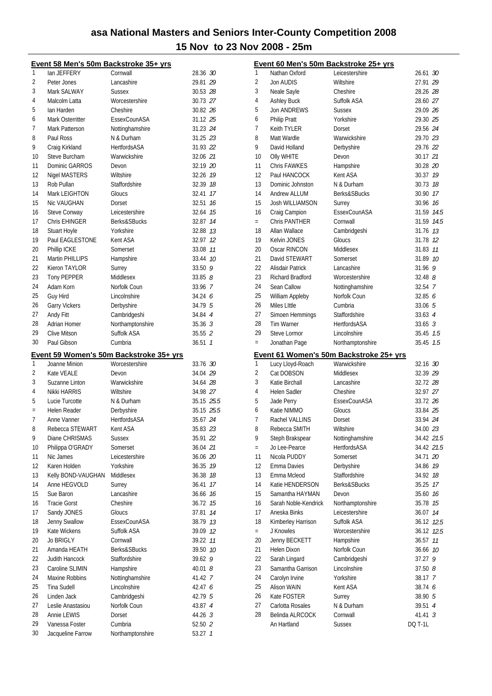|          | Event 58 Men's 50m Backstroke 35+ yrs |                                                |                    |
|----------|---------------------------------------|------------------------------------------------|--------------------|
| 1        | lan JEFFERY                           | Cornwall                                       | 28.36 30           |
| 2        | Peter Jones                           | Lancashire                                     | 29.81 29           |
| 3        | Mark SALWAY                           | <b>Sussex</b>                                  | 30.53 28           |
| 4        | Malcolm Latta                         | Worcestershire                                 | 30.73 27           |
| 5        | lan Harden                            | Cheshire                                       | 30.82 26           |
| 6        | Mark Osterritter                      | EssexCounASA                                   | 31.12 25           |
| 7        | Mark Patterson                        | Nottinghamshire                                | 31.23 24           |
| 8        | Paul Ross                             | N & Durham                                     | 31.25 23           |
| 9        | Craig Kirkland                        | <b>HertfordsASA</b>                            | 31.93 22           |
| 10       | Steve Burcham                         | Warwickshire                                   | 32.06 21           |
| 11       | Dominic GARROS                        | Devon                                          | 32.19 20           |
| 12       | Nigel MASTERS                         | Wiltshire                                      | 32.26 19           |
| 13       |                                       | Staffordshire                                  | 32.39 18           |
|          | Rob Pullan                            |                                                |                    |
| 14       | Mark LEIGHTON                         | Gloucs                                         | 32.41 17           |
| 15       | Nic VAUGHAN                           | Dorset                                         | 32.51 16           |
| 16       | Steve Conway                          | Leicestershire                                 | 32.64 15           |
| 17       | Chris EHINGER                         | Berks&SBucks                                   | 32.87 14           |
| 18       | Stuart Hoyle                          | Yorkshire                                      | 32.88 73           |
| 19       | Paul EAGLESTONE                       | Kent ASA                                       | 32.97 12           |
| 20       | Phillip ICKE                          | Somerset                                       | 33.08 11           |
| 21       | Martin PHILLIPS                       | Hampshire                                      | 33.44 10           |
| 22       | Kieron TAYLOR                         | Surrey                                         | 33.509             |
| 23       | Tony PEPPER                           | Middlesex                                      | $33.85$ $8$        |
| 24       | Adam Korn                             | Norfolk Coun                                   | 33.96 7            |
| 25       | Guy Hird                              | Lincolnshire                                   | 34.246             |
| 26       | <b>Garry Vickers</b>                  | Derbyshire                                     | 34.79 5            |
| 27       | Andy Fitt                             | Cambridgeshi                                   | 34.84 4            |
| 28       | Adrian Homer                          | Northamptonshire                               | $35.36$ 3          |
| 29       | Clive Mitson                          | Suffolk ASA                                    | 35.55 2            |
| 30       | Paul Gibson                           | Cumbria                                        | $36.51 \quad 1$    |
|          |                                       |                                                |                    |
|          |                                       |                                                |                    |
|          |                                       | <u>Event 59 Women's 50m Backstroke 35+ yrs</u> |                    |
| 1        | Joanne Minion                         | Worcestershire                                 | 33.76 30           |
| 2        | Kate VEALE                            | Devon                                          | 34.04 29           |
| 3        | Suzanne Linton                        | Warwickshire                                   | 34.64 28           |
| 4        | Nikki HARRIS                          | Wiltshire                                      | 34.98 27           |
| 5        | Lucie Turcotte                        | N & Durham                                     | 35.15 25.5         |
| $\equiv$ | Helen Reader                          | Derbyshire                                     | 35.15 25.5         |
| 7        | Anne Vanner                           | <b>HertfordsASA</b>                            | 35.67 24           |
| 8        | Rebecca STEWART                       | Kent ASA                                       | 35.83 23           |
| 9        | Diane CHRISMAS                        | <b>Sussex</b>                                  | 35.91 22           |
| 10       | Philippa O'GRADY                      | Somerset                                       | 36.04 21           |
| 11       | Nic James                             | Leicestershire                                 | 36.06 20           |
| 12       | Karen Holden                          | Yorkshire                                      | 36.35 19           |
| 13       | Kelly BOND-VAUGHAN                    | Middlesex                                      | 36.38 18           |
| 14       | Anne HEGVOLD                          | Surrey                                         | 17<br>36.41        |
| 15       | Sue Baron                             | Lancashire                                     | 36.66 16           |
| 16       | <b>Tracie Gorst</b>                   | Cheshire                                       | 36.72 15           |
| 17       | Sandy JONES                           | Gloucs                                         | 37.81<br>14        |
| 18       | Jenny Swallow                         | EssexCounASA                                   | 38.79 13           |
|          | Kate Wickens                          |                                                |                    |
| 19<br>20 |                                       | Suffolk ASA<br>Cornwall                        | 39.09 12           |
|          | Jo BRIGLY                             |                                                | 39.22 11           |
| 21       | Amanda HEATH                          | Berks&SBucks                                   | 39.50 10           |
| 22       | Judith Hancock<br>Caroline SLIMIN     | Staffordshire                                  | 39.62 9            |
| 23       |                                       | Hampshire                                      | 40.018             |
| 24       | Maxine Robbins                        | Nottinghamshire                                | 41.42 7            |
| 25       | <b>Tina Sudell</b>                    | Lincolnshire                                   | 42.47 6            |
| 26       | Linden Jack                           | Cambridgeshi                                   | 42.79 5            |
| 27       | Leslie Anastasiou                     | Norfolk Coun                                   | 43.87 4            |
| 28       | Annie LEWIS                           | Dorset                                         | 44.26 3            |
| 29<br>30 | Vanessa Foster<br>Jacqueline Farrow   | Cumbria<br>Northamptonshire                    | 52.50 2<br>53.27 1 |

|                |                                | Event 60 Men's 50m Backstroke 25+ yrs   |                           |    |
|----------------|--------------------------------|-----------------------------------------|---------------------------|----|
| 1              | Nathan Oxford                  | Leicestershire                          | 26.61 30                  |    |
| $\overline{2}$ | Jon AUDIS                      | Wiltshire                               | 27.91 29                  |    |
| 3              | Neale Sayle                    | Cheshire                                | 28.26 28                  |    |
| 4              | <b>Ashley Buck</b>             | Suffolk ASA                             | 28.60 27                  |    |
| 5              | Jon ANDREWS                    | <b>Sussex</b>                           | 29.09 26                  |    |
| 6              | <b>Philip Pratt</b>            | Yorkshire                               | 29.30 25                  |    |
| 7              | Keith TYLER                    | Dorset                                  | 29.56 24                  |    |
| 8              | Matt Wardle                    | Warwickshire                            | 29.70 23                  |    |
| 9              | David Holland                  | Derbyshire                              | 29.76 22                  |    |
| 10             | <b>Olly WHITE</b>              | Devon                                   | 30.17 21                  |    |
| 11             | Chris FAWKES                   | Hampshire                               | 30.28 20                  |    |
| 12             | Paul HANCOCK                   | Kent ASA                                | 30.37 19                  |    |
| 13             | Dominic Johnston               | N & Durham                              | 30.73 18                  |    |
| 14             | <b>Andrew ALLUM</b>            | Berks&SBucks                            | 30.90 17                  |    |
| 15             | Josh WILLIAMSON                | Surrey                                  | 30.96 16                  |    |
| 16             | Craig Campion                  | EssexCounASA                            | 31.59 14.5                |    |
| $=$            | <b>Chris PANTHER</b>           | Cornwall                                | 31.59 14.5                |    |
| 18             | Allan Wallace                  | Cambridgeshi                            | 31.76 13                  |    |
| 19             | Kelvin JONES                   | Gloucs                                  | 31.78 12                  |    |
| 20             | Oscar RINCON                   | Middlesex                               | 31.83 77                  |    |
| 21             | David STEWART                  | Somerset                                | 31.89 10                  |    |
| 22             | Alisdair Patrick               | Lancashire                              | 31.96                     | 9  |
| 23             | <b>Richard Bradford</b>        | Worcestershire                          | $32.48$ $8$               |    |
| 24             | Sean Callow                    | Nottinghamshire                         | 32.54 7                   |    |
| 25             | William Appleby                | Norfolk Coun                            | 32.856                    |    |
| 26             | Miles Little                   | Cumbria                                 | 33.06 5                   |    |
| 27             | Simoen Hemmings                | Staffordshire                           | $33.63 \quad 4$           |    |
| 28             | <b>Tim Warner</b>              | <b>HertfordsASA</b>                     | $33.65$ 3                 |    |
| 29             | <b>Steve Lormor</b>            | Lincolnshire                            | 35.45 7.5                 |    |
| $=$            | Jonathan Page                  | Northamptonshire                        | 35.45 7.5                 |    |
|                |                                |                                         |                           |    |
|                |                                | Event 61 Women's 50m Backstroke 25+ yrs |                           |    |
| 1              | Lucy Lloyd-Roach               | Warwickshire                            | 32.16 30                  |    |
| $\overline{2}$ | Cat DOBSON                     | Middlesex                               | 32.39 29                  |    |
| 3              | Katie Birchall                 | Lancashire                              | 32.72 28                  |    |
| 4              | <b>Helen Sadler</b>            | Cheshire                                | 32.97 27                  |    |
| 5              | Jade Perry                     | EssexCounASA                            | 33.72 26                  |    |
| 6              | Katie NIMMO                    | Gloucs                                  | 33.84 25                  |    |
| 7              | Rachel VALLINS                 | Dorset                                  | 33.94 24                  |    |
| 8              | Rebecca SMITH                  | Wiltshire                               | 34.00 23                  |    |
| 9              | Steph Brakspear                | Nottinghamshire                         | 34.42 21.5                |    |
| $=$            | Jo Lee-Pearce                  | <b>HertfordsASA</b>                     | 34.42 21.5                |    |
| 11             | Nicola PUDDY                   | Somerset                                | 34.71 20                  |    |
| 12             | Emma Davies                    | Derbyshire                              | 34.86 19                  |    |
| 13             | Emma Mcleod                    | Staffordshire                           | 34.92                     | 18 |
| 14             | Katie HENDERSON                | Berks&SBucks                            | 35.25                     | 17 |
| 15             | Samantha HAYMAN                | Devon                                   | 35.60 76                  |    |
| 16             | Sarah Noble-Kendrick           | Northamptonshire                        | 35.78 75                  |    |
| 17             | Aneska Binks                   | Leicestershire                          | 36.07 14                  |    |
| 18             | Kimberley Harrison             | Suffolk ASA                             | 36.12 12.5                |    |
| $=$            | J Knowles                      | Worcestershire                          | 36.12 12.5                |    |
| 20             | Jenny BECKETT                  | Hampshire                               | 36.57                     | 11 |
| 21             | Helen Dixon                    | Norfolk Coun                            | 36.66 10                  |    |
| 22             | Sarah Lingard                  | Cambridgeshi                            | 37.27                     | 9  |
| 23             | Samantha Garrison              | Lincolnshire                            | 37.508                    |    |
| 24             | Carolyn Irvine                 | Yorkshire                               | 38.17 7                   |    |
| 25             | Alison WAIN                    | Kent ASA                                | 38.74 6                   |    |
| 26             | Kate FOSTER                    | Surrey                                  | 38.90 5                   |    |
| 27<br>28       | Carlotta Rosales               | N & Durham<br>Cornwall                  | 39.51 4                   |    |
|                | Belinda ALRCOCK<br>An Hartland | <b>Sussex</b>                           | 41.41 3<br><b>DQ T-1L</b> |    |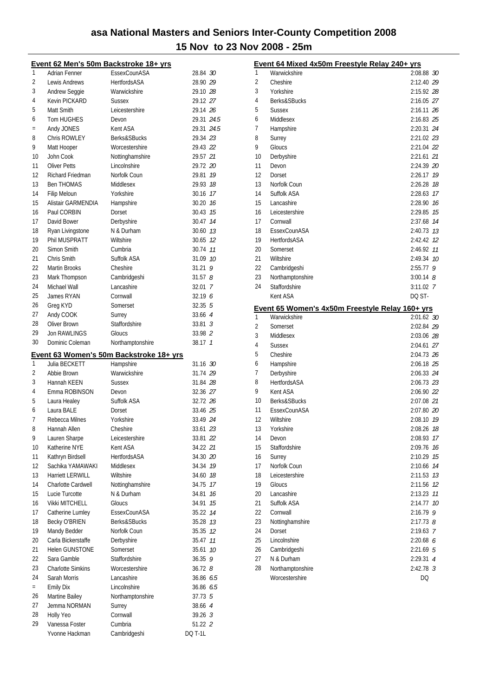|     |                          | Event 62 Men's 50m Backstroke 18+ yrs          |                 |
|-----|--------------------------|------------------------------------------------|-----------------|
| 1   | Adrian Fenner            | EssexCounASA                                   | 28.84 30        |
| 2   | Lewis Andrews            | <b>HertfordsASA</b>                            | 28.90 29        |
| 3   | Andrew Seggie            | Warwickshire                                   | 29.10 28        |
| 4   | Kevin PICKARD            | <b>Sussex</b>                                  | 29.12 27        |
| 5   | Matt Smith               | Leicestershire                                 | 29.14 26        |
| 6   | Tom HUGHES               | Devon                                          | 29.31 24.5      |
| $=$ | Andy JONES               | Kent ASA                                       | 29.31 24.5      |
| 8   | Chris ROWLEY             | Berks&SBucks                                   | 29.34 23        |
| 9   | Matt Hooper              | Worcestershire                                 | 29.43 22        |
| 10  | John Cook                | Nottinghamshire                                | 29.57 21        |
| 11  | <b>Oliver Petts</b>      | Lincolnshire                                   | 29.72 20        |
| 12  |                          |                                                |                 |
|     | Richard Friedman         | Norfolk Coun                                   | 29.81 19        |
| 13  | <b>Ben THOMAS</b>        | Middlesex                                      | 29.93 18        |
| 14  | Filip Meloun             | Yorkshire                                      | 30.16 17        |
| 15  | Alistair GARMENDIA       | Hampshire                                      | 30.20 16        |
| 16  | Paul CORBIN              | Dorset                                         | 30.43 75        |
| 17  | David Bower              | Derbyshire                                     | 30.47 14        |
| 18  | Ryan Livingstone         | N & Durham                                     | 30.60 13        |
| 19  | Phil MUSPRATT            | Wiltshire                                      | 30.65 12        |
| 20  | Simon Smith              | Cumbria                                        | 30.74 11        |
| 21  | Chris Smith              | Suffolk ASA                                    | 31.09 10        |
| 22  | Martin Brooks            | Cheshire                                       | $31.21$ 9       |
| 23  | Mark Thompson            | Cambridgeshi                                   | 31.578          |
| 24  | Michael Wall             | Lancashire                                     | $32.01 \quad 7$ |
| 25  | James RYAN               | Cornwall                                       | 32.196          |
| 26  | Greg KYD                 | Somerset                                       | $32.35$ 5       |
| 27  | Andy COOK                | Surrey                                         | 33.66 4         |
| 28  | Oliver Brown             | Staffordshire                                  | $33.81 \t3$     |
| 29  | <b>Jon RAWLINGS</b>      | Gloucs                                         | 33.98 2         |
| 30  |                          |                                                |                 |
|     | Dominic Coleman          | Northamptonshire                               | 38.17 1         |
|     |                          |                                                |                 |
|     |                          | <u>Event 63 Women's 50m Backstroke 18+ yrs</u> |                 |
| 1   | Julia BECKETT            | Hampshire                                      | 31.16 30        |
| 2   | Abbie Brown              | Warwickshire                                   | 31.74 29        |
| 3   | Hannah KEEN              | <b>Sussex</b>                                  | 31.84 28        |
| 4   | Emma ROBINSON            | Devon                                          | 32.36 27        |
| 5   | Laura Healey             | Suffolk ASA                                    | 32.72 26        |
| 6   | Laura BALE               | Dorset                                         | 33.46 25        |
| 7   | Rebecca Milnes           | Yorkshire                                      | 33.49 24        |
| 8   | Hannah Allen             |                                                |                 |
| 9   |                          | Cheshire                                       | 33.61 23        |
|     | Lauren Sharpe            | Leicestershire                                 | 33.81 22        |
| 10  | Katherine NYE            | Kent ASA                                       | 34.22 21        |
| 11  | Kathryn Birdsell         | <b>HertfordsASA</b>                            | 34.30 20        |
| 12  | Sachika YAMAWAKI         | Middlesex                                      | 34.34 19        |
| 13  | <b>Harriett LERWILL</b>  | Wiltshire                                      | 34.60 18        |
| 14  | Charlotte Cardwell       | Nottinghamshire                                | 17<br>34.75     |
| 15  | Lucie Turcotte           | N & Durham                                     | 16<br>34.81     |
| 16  | <b>Vikki MITCHELL</b>    | Gloucs                                         | 15<br>34.91     |
| 17  | Catherine Lumley         | EssexCounASA                                   | 35.22 14        |
| 18  | <b>Becky O'BRIEN</b>     | Berks&SBucks                                   | 35.28 13        |
| 19  | Mandy Bedder             | Norfolk Coun                                   | 35.35 12        |
| 20  | Carla Bickerstaffe       | Derbyshire                                     | 35.47 11        |
| 21  | <b>Helen GUNSTONE</b>    | Somerset                                       | 35.61 10        |
| 22  | Sara Gamble              | Staffordshire                                  | 36.35 9         |
| 23  | <b>Charlotte Simkins</b> | Worcestershire                                 | $36.72$ $8$     |
| 24  | Sarah Morris             | Lancashire                                     | 36.86 6.5       |
| $=$ | <b>Emily Dix</b>         | Lincolnshire                                   | 36.86 6.5       |
| 26  | Martine Bailey           | Northamptonshire                               | 37.73 5         |
| 27  | Jemma NORMAN             | Surrey                                         | 38.66 4         |
| 28  | Holly Yeo                | Cornwall                                       | 39.26 3         |
| 29  | Vanessa Foster           | Cumbria                                        | 51.22 2         |

|    | Event 64 Mixed 4x50m Freestyle Relay 240+ yrs   |                   |    |
|----|-------------------------------------------------|-------------------|----|
| 1  | Warwickshire                                    | 2:08.88 30        |    |
| 2  | Cheshire                                        | 2:12.40 29        |    |
| 3  | Yorkshire                                       | 2:15.92 28        |    |
| 4  | Berks&SBucks                                    | 2:16.05 27        |    |
| 5  | <b>Sussex</b>                                   | 2:16.11 26        |    |
| 6  | Middlesex                                       | 2:16.83 25        |    |
| 7  | Hampshire                                       | 2:20.31 24        |    |
| 8  | Surrey                                          | 2:21.02 23        |    |
| 9  | Gloucs                                          | 2:21.04 22        |    |
| 10 | Derbyshire                                      | 2:21.61 21        |    |
| 11 | Devon                                           | 2:24.39 20        |    |
| 12 | Dorset                                          | 2:26.17           | 19 |
| 13 | Norfolk Coun                                    | 2:26.28           | 18 |
| 14 | Suffolk ASA                                     | 2:28.63           | 17 |
| 15 | Lancashire                                      | 2:28.90           | 16 |
| 16 | Leicestershire                                  | 2:29.85           | 15 |
| 17 | Cornwall                                        | 2:37.68           | 14 |
| 18 | EssexCounASA                                    | 2:40.73           | 13 |
| 19 | HertfordsASA                                    | 2:42.42           | 12 |
| 20 | Somerset                                        | 2:46.92           | 11 |
| 21 | Wiltshire                                       | 2:49.34           | 10 |
| 22 | Cambridgeshi                                    | 2:55.77           | 9  |
| 23 | Northamptonshire                                | $3:00.14$ 8       |    |
| 24 | Staffordshire                                   | $3:11.02$ 7       |    |
|    | Kent ASA                                        | DQ ST-            |    |
|    | Event 65 Women's 4x50m Freestyle Relay 160+ yrs |                   |    |
| 1  | Warwickshire                                    | 2:01.62 30        |    |
|    |                                                 |                   |    |
| 2  | Somerset                                        | 2:02.84 29        |    |
| 3  | Middlesex                                       | 2:03.06 28        |    |
| 4  | <b>Sussex</b>                                   | 2:04.61 27        |    |
| 5  | Cheshire                                        | 2:04.73 26        |    |
| 6  | Hampshire                                       | 2:06.18 25        |    |
| 7  | Derbyshire                                      | 2:06.33 24        |    |
| 8  | HertfordsASA                                    | 2:06.73 23        |    |
| 9  | Kent ASA                                        | 2:06.90 22        |    |
| 10 | Berks&SBucks                                    | 2:07.08 21        |    |
| 11 | EssexCounASA                                    | 2:07.80 20        |    |
| 12 | Wiltshire                                       | 2:08.10 79        |    |
| 13 | Yorkshire                                       | 2:08.26 18        |    |
| 14 | Devon                                           | 2:08.93           | 17 |
| 15 | Staffordshire                                   | 2:09.76           | 16 |
| 16 | Surrey                                          | 2:10.29           | 15 |
| 17 | Norfolk Coun                                    | 2:10.66           | 14 |
| 18 | Leicestershire                                  | 2:11.53           | 13 |
| 19 | Gloucs                                          | 2:11.56           | 12 |
| 20 | Lancashire                                      | 2:13.23           | 11 |
| 21 | Suffolk ASA                                     | 2:14.77           | 10 |
| 22 | Cornwall                                        | 2:16.79           | 9  |
| 23 | Nottinghamshire                                 | $2:17.73$ $8$     |    |
| 24 | Dorset                                          | 2:19.63 7         |    |
| 25 | Lincolnshire                                    | 2:20.68 6         |    |
| 26 | Cambridgeshi                                    | $2:21.69$ 5       |    |
| 27 | N & Durham                                      | 2:29.31 4         |    |
| 28 | Northamptonshire<br>Worcestershire              | $2:42.78$ 3<br>DQ |    |